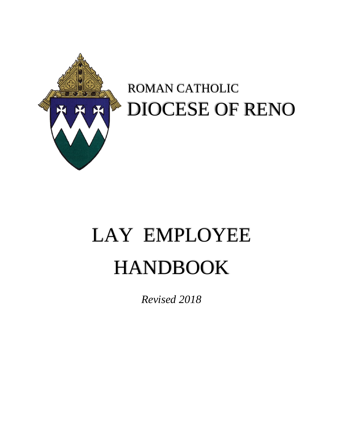

# ROMAN CATHOLIC DIOCESE OF RENO

# LAY EMPLOYEE HANDBOOK

*Revised 2018*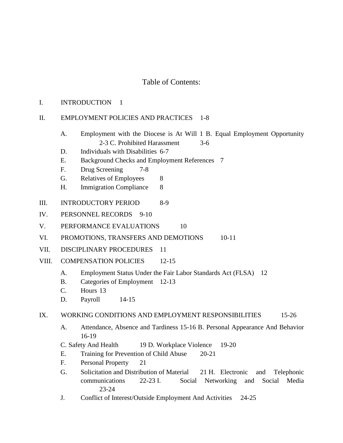# Table of Contents:

#### I. INTRODUCTION 1

# II. EMPLOYMENT POLICIES AND PRACTICES 1-8

- A. Employment with the Diocese is At Will 1 B. Equal Employment Opportunity 2-3 C. Prohibited Harassment 3-6
- D. Individuals with Disabilities 6-7
- E. Background Checks and Employment References 7
- F. Drug Screening 7-8
- G. Relatives of Employees 8
- H. Immigration Compliance 8
- III. INTRODUCTORY PERIOD 8-9
- IV. PERSONNEL RECORDS 9-10
- V. PERFORMANCE EVALUATIONS 10
- VI. PROMOTIONS, TRANSFERS AND DEMOTIONS 10-11
- VII. DISCIPLINARY PROCEDURES 11
- VIII. COMPENSATION POLICIES 12-15
	- A. Employment Status Under the Fair Labor Standards Act (FLSA) 12
	- B. Categories of Employment 12-13
	- C. Hours 13
	- D. Payroll 14-15

# IX. WORKING CONDITIONS AND EMPLOYMENT RESPONSIBILITIES 15-26

- A. Attendance, Absence and Tardiness 15-16 B. Personal Appearance And Behavior 16-19
- C. Safety And Health 19 D. Workplace Violence 19-20
- E. Training for Prevention of Child Abuse 20-21
- F. Personal Property 21
- G. Solicitation and Distribution of Material 21 H. Electronic and Telephonic communications 22-23 I. Social Networking and Social Media 23-24
- J. Conflict of Interest/Outside Employment And Activities 24-25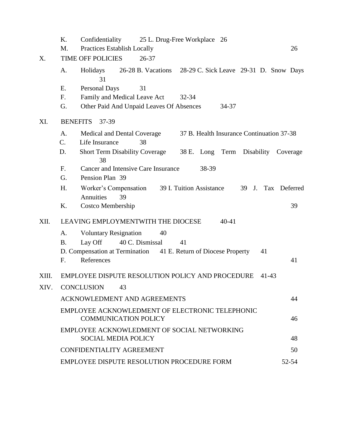|       | K.                                | Confidentiality 25 L. Drug-Free Workplace 26                                               |       |  |  |  |
|-------|-----------------------------------|--------------------------------------------------------------------------------------------|-------|--|--|--|
|       | M.                                | <b>Practices Establish Locally</b>                                                         | 26    |  |  |  |
| X.    | <b>TIME OFF POLICIES</b><br>26-37 |                                                                                            |       |  |  |  |
|       | A.                                | Holidays 26-28 B. Vacations 28-29 C. Sick Leave 29-31 D. Snow Days<br>31                   |       |  |  |  |
|       | Ε.                                | <b>Personal Days</b><br>31                                                                 |       |  |  |  |
|       | F.                                | Family and Medical Leave Act<br>$32 - 34$                                                  |       |  |  |  |
|       | G.                                | Other Paid And Unpaid Leaves Of Absences<br>34-37                                          |       |  |  |  |
| XI.   | <b>BENEFITS</b><br>37-39          |                                                                                            |       |  |  |  |
|       | A.                                | Medical and Dental Coverage<br>37 B. Health Insurance Continuation 37-38                   |       |  |  |  |
|       | $C_{\cdot}$                       | 38<br>Life Insurance                                                                       |       |  |  |  |
|       | D.                                | <b>Short Term Disability Coverage</b><br>38 E. Long Term Disability Coverage<br>38         |       |  |  |  |
|       | F.                                | Cancer and Intensive Care Insurance<br>38-39                                               |       |  |  |  |
|       | G.                                | Pension Plan 39                                                                            |       |  |  |  |
|       | H.                                | Worker's Compensation 39 I. Tuition Assistance<br>39 J.<br>Tax Deferred<br>Annuities<br>39 |       |  |  |  |
|       | K.                                | <b>Costco Membership</b>                                                                   | 39    |  |  |  |
| XII.  |                                   | LEAVING EMPLOYMENTWITH THE DIOCESE<br>$40 - 41$                                            |       |  |  |  |
|       | A.                                | <b>Voluntary Resignation</b><br>40                                                         |       |  |  |  |
|       | <b>B.</b>                         | Lay Off<br>40 C. Dismissal<br>41                                                           |       |  |  |  |
|       |                                   | D. Compensation at Termination 41 E. Return of Diocese Property<br>41                      |       |  |  |  |
|       | F.                                | References                                                                                 | 41    |  |  |  |
| XIII. |                                   | EMPLOYEE DISPUTE RESOLUTION POLICY AND PROCEDURE<br>41-43                                  |       |  |  |  |
| XIV.  | CONCLUSION 43                     |                                                                                            |       |  |  |  |
|       |                                   | <b>ACKNOWLEDMENT AND AGREEMENTS</b>                                                        | 44    |  |  |  |
|       |                                   | EMPLOYEE ACKNOWLEDMENT OF ELECTRONIC TELEPHONIC<br><b>COMMUNICATION POLICY</b>             | 46    |  |  |  |
|       |                                   | EMPLOYEE ACKNOWLEDMENT OF SOCIAL NETWORKING<br><b>SOCIAL MEDIA POLICY</b>                  | 48    |  |  |  |
|       |                                   | <b>CONFIDENTIALITY AGREEMENT</b>                                                           | 50    |  |  |  |
|       |                                   | EMPLOYEE DISPUTE RESOLUTION PROCEDURE FORM                                                 | 52-54 |  |  |  |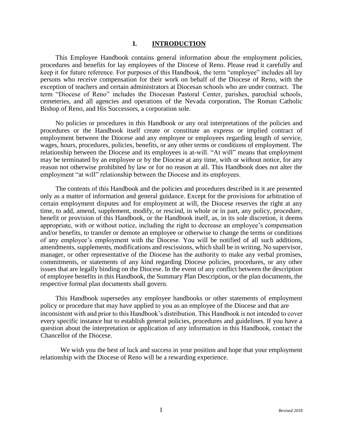#### **I. INTRODUCTION**

This Employee Handbook contains general information about the employment policies, procedures and benefits for lay employees of the Diocese of Reno. Please read it carefully and keep it for future reference. For purposes of this Handbook, the term "employee" includes all lay persons who receive compensation for their work on behalf of the Diocese of Reno, with the exception of teachers and certain administrators at Diocesan schools who are under contract. The term "Diocese of Reno" includes the Diocesan Pastoral Center, parishes, parochial schools, cemeteries, and all agencies and operations of the Nevada corporation, The Roman Catholic Bishop of Reno, and His Successors, a corporation sole.

No policies or procedures in this Handbook or any oral interpretations of the policies and procedures or the Handbook itself create or constitute an express or implied contract of employment between the Diocese and any employee or employees regarding length of service, wages, hours, procedures, policies, benefits, or any other terms or conditions of employment. The relationship between the Diocese and its employees is at-will. "At will" means that employment may be terminated by an employee or by the Diocese at any time, with or without notice, for any reason not otherwise prohibited by law or for no reason at all. This Handbook does not alter the employment "at will" relationship between the Diocese and its employees.

The contents of this Handbook and the policies and procedures described in it are presented only as a matter of information and general guidance. Except for the provisions for arbitration of certain employment disputes and for employment at will, the Diocese reserves the right at any time, to add, amend, supplement, modify, or rescind, in whole or in part, any policy, procedure, benefit or provision of this Handbook, or the Handbook itself, as, in its sole discretion, it deems appropriate, with or without notice, including the right to decrease an employee's compensation and/or benefits, to transfer or demote an employee or otherwise to change the terms or conditions of any employee's employment with the Diocese. You will be notified of all such additions, amendments, supplements, modifications and rescissions, which shall be in writing. No supervisor, manager, or other representative of the Diocese has the authority to make any verbal promises, commitments, or statements of any kind regarding Diocese policies, procedures, or any other issues that are legally binding on the Diocese. In the event of any conflict between the description of employee benefits in this Handbook, the Summary Plan Description, or the plan documents, the respective formal plan documents shall govern.

This Handbook supersedes any employee handbooks or other statements of employment policy or procedure that may have applied to you as an employee of the Diocese and that are inconsistent with and prior to this Handbook's distribution. This Handbook is not intended to cover every specific instance but to establish general policies, procedures and guidelines. If you have a question about the interpretation or application of any information in this Handbook, contact the Chancellor of the Diocese.

We wish you the best of luck and success in your position and hope that your employment relationship with the Diocese of Reno will be a rewarding experience.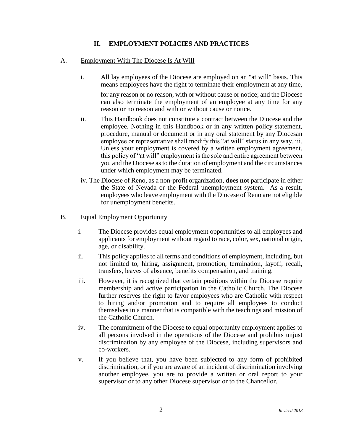# **II. EMPLOYMENT POLICIES AND PRACTICES**

# A. Employment With The Diocese Is At Will

- i. All lay employees of the Diocese are employed on an "at will" basis. This means employees have the right to terminate their employment at any time, for any reason or no reason, with or without cause or notice; and the Diocese can also terminate the employment of an employee at any time for any reason or no reason and with or without cause or notice.
- ii. This Handbook does not constitute a contract between the Diocese and the employee. Nothing in this Handbook or in any written policy statement, procedure, manual or document or in any oral statement by any Diocesan employee or representative shall modify this "at will" status in any way. iii. Unless your employment is covered by a written employment agreement, this policy of "at will" employment is the sole and entire agreement between you and the Diocese as to the duration of employment and the circumstances under which employment may be terminated.
- iv. The Diocese of Reno, as a non-profit organization, **does not** participate in either the State of Nevada or the Federal unemployment system. As a result, employees who leave employment with the Diocese of Reno are not eligible for unemployment benefits.

# B. Equal Employment Opportunity

- i. The Diocese provides equal employment opportunities to all employees and applicants for employment without regard to race, color, sex, national origin, age, or disability.
- ii. This policy applies to all terms and conditions of employment, including, but not limited to, hiring, assignment, promotion, termination, layoff, recall, transfers, leaves of absence, benefits compensation, and training.
- iii. However, it is recognized that certain positions within the Diocese require membership and active participation in the Catholic Church. The Diocese further reserves the right to favor employees who are Catholic with respect to hiring and/or promotion and to require all employees to conduct themselves in a manner that is compatible with the teachings and mission of the Catholic Church.
- iv. The commitment of the Diocese to equal opportunity employment applies to all persons involved in the operations of the Diocese and prohibits unjust discrimination by any employee of the Diocese, including supervisors and co-workers.
- v. If you believe that, you have been subjected to any form of prohibited discrimination, or if you are aware of an incident of discrimination involving another employee, you are to provide a written or oral report to your supervisor or to any other Diocese supervisor or to the Chancellor.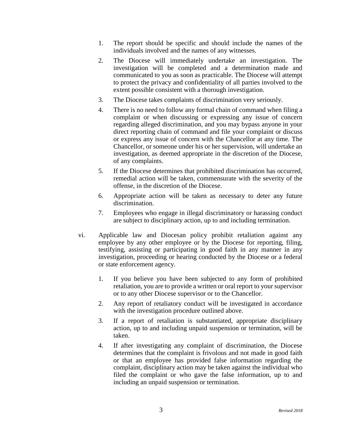- 1. The report should be specific and should include the names of the individuals involved and the names of any witnesses.
- 2. The Diocese will immediately undertake an investigation. The investigation will be completed and a determination made and communicated to you as soon as practicable. The Diocese will attempt to protect the privacy and confidentiality of all parties involved to the extent possible consistent with a thorough investigation.
- 3. The Diocese takes complaints of discrimination very seriously.
- 4. There is no need to follow any formal chain of command when filing a complaint or when discussing or expressing any issue of concern regarding alleged discrimination, and you may bypass anyone in your direct reporting chain of command and file your complaint or discuss or express any issue of concern with the Chancellor at any time. The Chancellor, or someone under his or her supervision, will undertake an investigation, as deemed appropriate in the discretion of the Diocese, of any complaints.
- 5. If the Diocese determines that prohibited discrimination has occurred, remedial action will be taken, commensurate with the severity of the offense, in the discretion of the Diocese.
- 6. Appropriate action will be taken as necessary to deter any future discrimination.
- 7. Employees who engage in illegal discriminatory or harassing conduct are subject to disciplinary action, up to and including termination.
- vi. Applicable law and Diocesan policy prohibit retaliation against any employee by any other employee or by the Diocese for reporting, filing, testifying, assisting or participating in good faith in any manner in any investigation, proceeding or hearing conducted by the Diocese or a federal or state enforcement agency.
	- 1. If you believe you have been subjected to any form of prohibited retaliation, you are to provide a written or oral report to your supervisor or to any other Diocese supervisor or to the Chancellor.
	- 2. Any report of retaliatory conduct will be investigated in accordance with the investigation procedure outlined above.
	- 3. If a report of retaliation is substantiated, appropriate disciplinary action, up to and including unpaid suspension or termination, will be taken.
	- 4. If after investigating any complaint of discrimination, the Diocese determines that the complaint is frivolous and not made in good faith or that an employee has provided false information regarding the complaint, disciplinary action may be taken against the individual who filed the complaint or who gave the false information, up to and including an unpaid suspension or termination.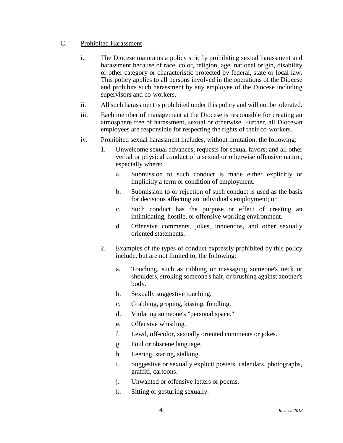# C. Prohibited Harassment

- i. The Diocese maintains a policy strictly prohibiting sexual harassment and harassment because of race, color, religion, age, national origin, disability or other category or characteristic protected by federal, state or local law. This policy applies to all persons involved in the operations of the Diocese and prohibits such harassment by any employee of the Diocese including supervisors and co-workers.
- ii. All such harassment is prohibited under this policy and will not be tolerated.
- iii. Each member of management at the Diocese is responsible for creating an atmosphere free of harassment, sexual or otherwise. Further, all Diocesan employees are responsible for respecting the rights of their co-workers.
- iv. Prohibited sexual harassment includes, without limitation, the following:
	- 1. Unwelcome sexual advances; requests for sexual favors; and all other verbal or physical conduct of a sexual or otherwise offensive nature, especially where:
		- a. Submission to such conduct is made either explicitly or implicitly a term or condition of employment.
		- b. Submission to or rejection of such conduct is used as the basis for decisions affecting an individual's employment; or
		- c. Such conduct has the purpose or effect of creating an intimidating, hostile, or offensive working environment.
		- d. Offensive comments, jokes, innuendos, and other sexually oriented statements.
	- 2. Examples of the types of conduct expressly prohibited by this policy include, but are not limited to, the following:
		- a. Touching, such as rubbing or massaging someone's neck or shoulders, stroking someone's hair, or brushing against another's body.
		- b. Sexually suggestive touching.
		- c. Grabbing, groping, kissing, fondling.
		- d. Violating someone's "personal space."
		- e. Offensive whistling.
		- f. Lewd, off-color, sexually oriented comments or jokes.
		- g. Foul or obscene language.
		- h. Leering, staring, stalking.
		- i. Suggestive or sexually explicit posters, calendars, photographs, graffiti, cartoons.
		- j. Unwanted or offensive letters or poems.
		- k. Sitting or gesturing sexually.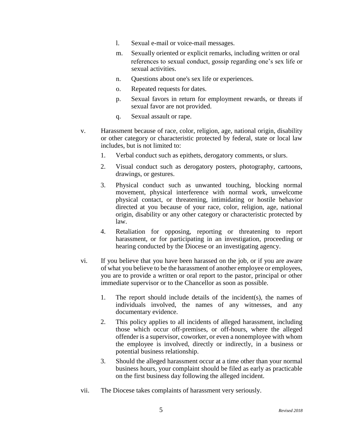- l. Sexual e-mail or voice-mail messages.
- m. Sexually oriented or explicit remarks, including written or oral references to sexual conduct, gossip regarding one's sex life or sexual activities.
- n. Questions about one's sex life or experiences.
- o. Repeated requests for dates.
- p. Sexual favors in return for employment rewards, or threats if sexual favor are not provided.
- q. Sexual assault or rape.
- v. Harassment because of race, color, religion, age, national origin, disability or other category or characteristic protected by federal, state or local law includes, but is not limited to:
	- 1. Verbal conduct such as epithets, derogatory comments, or slurs.
	- 2. Visual conduct such as derogatory posters, photography, cartoons, drawings, or gestures.
	- 3. Physical conduct such as unwanted touching, blocking normal movement, physical interference with normal work, unwelcome physical contact, or threatening, intimidating or hostile behavior directed at you because of your race, color, religion, age, national origin, disability or any other category or characteristic protected by law.
	- 4. Retaliation for opposing, reporting or threatening to report harassment, or for participating in an investigation, proceeding or hearing conducted by the Diocese or an investigating agency.
- vi. If you believe that you have been harassed on the job, or if you are aware of what you believe to be the harassment of another employee or employees, you are to provide a written or oral report to the pastor, principal or other immediate supervisor or to the Chancellor as soon as possible.
	- 1. The report should include details of the incident(s), the names of individuals involved, the names of any witnesses, and any documentary evidence.
	- 2. This policy applies to all incidents of alleged harassment, including those which occur off-premises, or off-hours, where the alleged offender is a supervisor, coworker, or even a nonemployee with whom the employee is involved, directly or indirectly, in a business or potential business relationship.
	- 3. Should the alleged harassment occur at a time other than your normal business hours, your complaint should be filed as early as practicable on the first business day following the alleged incident.
- vii. The Diocese takes complaints of harassment very seriously.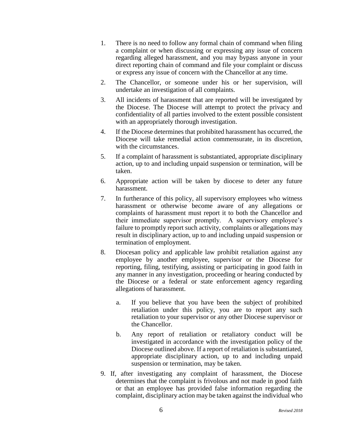- 1. There is no need to follow any formal chain of command when filing a complaint or when discussing or expressing any issue of concern regarding alleged harassment, and you may bypass anyone in your direct reporting chain of command and file your complaint or discuss or express any issue of concern with the Chancellor at any time.
- 2. The Chancellor, or someone under his or her supervision, will undertake an investigation of all complaints.
- 3. All incidents of harassment that are reported will be investigated by the Diocese. The Diocese will attempt to protect the privacy and confidentiality of all parties involved to the extent possible consistent with an appropriately thorough investigation.
- 4. If the Diocese determines that prohibited harassment has occurred, the Diocese will take remedial action commensurate, in its discretion, with the circumstances.
- 5. If a complaint of harassment is substantiated, appropriate disciplinary action, up to and including unpaid suspension or termination, will be taken.
- 6. Appropriate action will be taken by diocese to deter any future harassment.
- 7. In furtherance of this policy, all supervisory employees who witness harassment or otherwise become aware of any allegations or complaints of harassment must report it to both the Chancellor and their immediate supervisor promptly. A supervisory employee's failure to promptly report such activity, complaints or allegations may result in disciplinary action, up to and including unpaid suspension or termination of employment.
- 8. Diocesan policy and applicable law prohibit retaliation against any employee by another employee, supervisor or the Diocese for reporting, filing, testifying, assisting or participating in good faith in any manner in any investigation, proceeding or hearing conducted by the Diocese or a federal or state enforcement agency regarding allegations of harassment.
	- a. If you believe that you have been the subject of prohibited retaliation under this policy, you are to report any such retaliation to your supervisor or any other Diocese supervisor or the Chancellor.
	- b. Any report of retaliation or retaliatory conduct will be investigated in accordance with the investigation policy of the Diocese outlined above. If a report of retaliation is substantiated, appropriate disciplinary action, up to and including unpaid suspension or termination, may be taken.
- 9. If, after investigating any complaint of harassment, the Diocese determines that the complaint is frivolous and not made in good faith or that an employee has provided false information regarding the complaint, disciplinary action may be taken against the individual who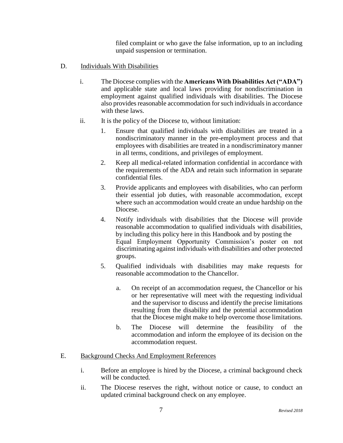filed complaint or who gave the false information, up to an including unpaid suspension or termination.

- D. **Individuals With Disabilities** 
	- i. The Diocese complies with the **Americans With Disabilities Act ("ADA")** and applicable state and local laws providing for nondiscrimination in employment against qualified individuals with disabilities. The Diocese also provides reasonable accommodation for such individuals in accordance with these laws.
	- ii. It is the policy of the Diocese to, without limitation:
		- 1. Ensure that qualified individuals with disabilities are treated in a nondiscriminatory manner in the pre-employment process and that employees with disabilities are treated in a nondiscriminatory manner in all terms, conditions, and privileges of employment.
		- 2. Keep all medical-related information confidential in accordance with the requirements of the ADA and retain such information in separate confidential files.
		- 3. Provide applicants and employees with disabilities, who can perform their essential job duties, with reasonable accommodation, except where such an accommodation would create an undue hardship on the Diocese.
		- 4. Notify individuals with disabilities that the Diocese will provide reasonable accommodation to qualified individuals with disabilities, by including this policy here in this Handbook and by posting the Equal Employment Opportunity Commission's poster on not discriminating against individuals with disabilities and other protected groups.
		- 5. Qualified individuals with disabilities may make requests for reasonable accommodation to the Chancellor.
			- a. On receipt of an accommodation request, the Chancellor or his or her representative will meet with the requesting individual and the supervisor to discuss and identify the precise limitations resulting from the disability and the potential accommodation that the Diocese might make to help overcome those limitations.
			- b. The Diocese will determine the feasibility of the accommodation and inform the employee of its decision on the accommodation request.

# E. Background Checks And Employment References

- i. Before an employee is hired by the Diocese, a criminal background check will be conducted.
- ii. The Diocese reserves the right, without notice or cause, to conduct an updated criminal background check on any employee.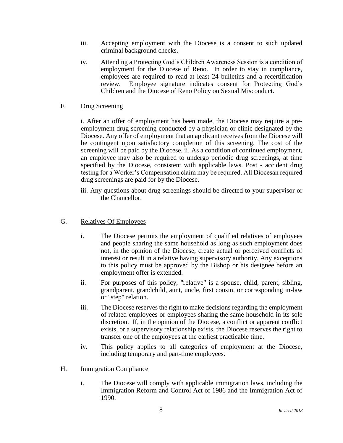- iii. Accepting employment with the Diocese is a consent to such updated criminal background checks.
- iv. Attending a Protecting God's Children Awareness Session is a condition of employment for the Diocese of Reno. In order to stay in compliance, employees are required to read at least 24 bulletins and a recertification review. Employee signature indicates consent for Protecting God's Children and the Diocese of Reno Policy on Sexual Misconduct.

#### F. Drug Screening

i. After an offer of employment has been made, the Diocese may require a preemployment drug screening conducted by a physician or clinic designated by the Diocese. Any offer of employment that an applicant receives from the Diocese will be contingent upon satisfactory completion of this screening. The cost of the screening will be paid by the Diocese. ii. As a condition of continued employment, an employee may also be required to undergo periodic drug screenings, at time specified by the Diocese, consistent with applicable laws. Post - accident drug testing for a Worker's Compensation claim may be required. All Diocesan required drug screenings are paid for by the Diocese.

#### G. Relatives Of Employees

- i. The Diocese permits the employment of qualified relatives of employees and people sharing the same household as long as such employment does not, in the opinion of the Diocese, create actual or perceived conflicts of interest or result in a relative having supervisory authority. Any exceptions to this policy must be approved by the Bishop or his designee before an employment offer is extended.
- ii. For purposes of this policy, "relative" is a spouse, child, parent, sibling, grandparent, grandchild, aunt, uncle, first cousin, or corresponding in-law or "step" relation.
- iii. The Diocese reserves the right to make decisions regarding the employment of related employees or employees sharing the same household in its sole discretion. If, in the opinion of the Diocese, a conflict or apparent conflict exists, or a supervisory relationship exists, the Diocese reserves the right to transfer one of the employees at the earliest practicable time.
- iv. This policy applies to all categories of employment at the Diocese, including temporary and part-time employees.

#### H. Immigration Compliance

i. The Diocese will comply with applicable immigration laws, including the Immigration Reform and Control Act of 1986 and the Immigration Act of 1990.

iii. Any questions about drug screenings should be directed to your supervisor or the Chancellor.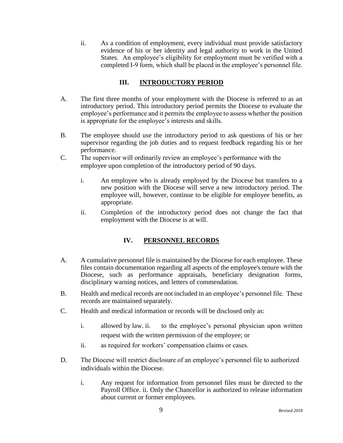ii. As a condition of employment, every individual must provide satisfactory evidence of his or her identity and legal authority to work in the United States. An employee's eligibility for employment must be verified with a completed I-9 form, which shall be placed in the employee's personnel file.

# **III. INTRODUCTORY PERIOD**

- A. The first three months of your employment with the Diocese is referred to as an introductory period. This introductory period permits the Diocese to evaluate the employee's performance and it permits the employee to assess whether the position is appropriate for the employee's interests and skills.
- B. The employee should use the introductory period to ask questions of his or her supervisor regarding the job duties and to request feedback regarding his or her performance.
- C. The supervisor will ordinarily review an employee's performance with the employee upon completion of the introductory period of 90 days.
	- i. An employee who is already employed by the Diocese but transfers to a new position with the Diocese will serve a new introductory period. The employee will, however, continue to be eligible for employee benefits, as appropriate.
	- ii. Completion of the introductory period does not change the fact that employment with the Diocese is at will.

# **IV. PERSONNEL RECORDS**

- A. A cumulative personnel file is maintained by the Diocese for each employee. These files contain documentation regarding all aspects of the employee's tenure with the Diocese, such as performance appraisals, beneficiary designation forms, disciplinary warning notices, and letters of commendation.
- B. Health and medical records are not included in an employee's personnel file. These records are maintained separately.
- C. Health and medical information or records will be disclosed only as:
	- i. allowed by law. ii. to the employee's personal physician upon written request with the written permission of the employee; or
	- ii. as required for workers' compensation claims or cases.
- D. The Diocese will restrict disclosure of an employee's personnel file to authorized individuals within the Diocese.
	- i. Any request for information from personnel files must be directed to the Payroll Office. ii. Only the Chancellor is authorized to release information about current or former employees.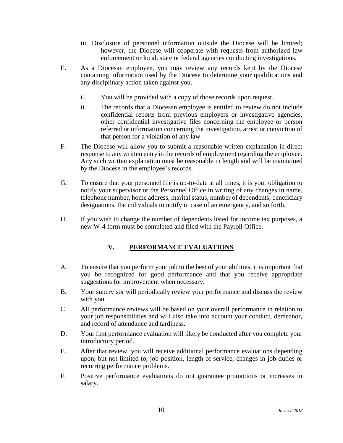- iii. Disclosure of personnel information outside the Diocese will be limited; however, the Diocese will cooperate with requests from authorized law enforcement or local, state or federal agencies conducting investigations.
- E. As a Diocesan employee, you may review any records kept by the Diocese containing information used by the Diocese to determine your qualifications and any disciplinary action taken against you.
	- i. You will be provided with a copy of those records upon request.
	- ii. The records that a Diocesan employee is entitled to review do not include confidential reports from previous employers or investigative agencies, other confidential investigative files concerning the employee or person referred or information concerning the investigation, arrest or conviction of that person for a violation of any law.
- F. The Diocese will allow you to submit a reasonable written explanation in direct response to any written entry in the records of employment regarding the employee. Any such written explanation must be reasonable in length and will be maintained by the Diocese in the employee's records.
- G. To ensure that your personnel file is up-to-date at all times, it is your obligation to notify your supervisor or the Personnel Office in writing of any changes in name, telephone number, home address, marital status, number of dependents, beneficiary designations, the individuals to notify in case of an emergency, and so forth.
- H. If you wish to change the number of dependents listed for income tax purposes, a new W-4 form must be completed and filed with the Payroll Office.

# **V. PERFORMANCE EVALUATIONS**

- A. To ensure that you perform your job to the best of your abilities, it is important that you be recognized for good performance and that you receive appropriate suggestions for improvement when necessary.
- B. Your supervisor will periodically review your performance and discuss the review with you.
- C. All performance reviews will be based on your overall performance in relation to your job responsibilities and will also take into account your conduct, demeanor, and record of attendance and tardiness.
- D. Your first performance evaluation will likely be conducted after you complete your introductory period.
- E. After that review, you will receive additional performance evaluations depending upon, but not limited to, job position, length of service, changes in job duties or recurring performance problems.
- F. Positive performance evaluations do not guarantee promotions or increases in salary.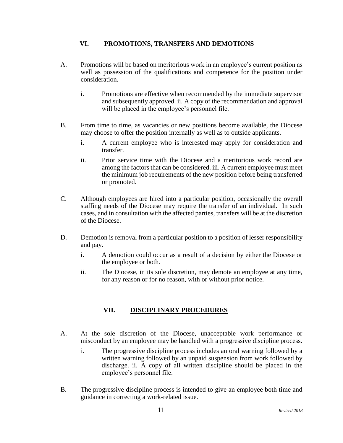# **VI. PROMOTIONS, TRANSFERS AND DEMOTIONS**

- A. Promotions will be based on meritorious work in an employee's current position as well as possession of the qualifications and competence for the position under consideration.
	- i. Promotions are effective when recommended by the immediate supervisor and subsequently approved. ii. A copy of the recommendation and approval will be placed in the employee's personnel file.
- B. From time to time, as vacancies or new positions become available, the Diocese may choose to offer the position internally as well as to outside applicants.
	- i. A current employee who is interested may apply for consideration and transfer.
	- ii. Prior service time with the Diocese and a meritorious work record are among the factors that can be considered. iii. A current employee must meet the minimum job requirements of the new position before being transferred or promoted.
- C. Although employees are hired into a particular position, occasionally the overall staffing needs of the Diocese may require the transfer of an individual. In such cases, and in consultation with the affected parties, transfers will be at the discretion of the Diocese.
- D. Demotion is removal from a particular position to a position of lesser responsibility and pay.
	- i. A demotion could occur as a result of a decision by either the Diocese or the employee or both.
	- ii. The Diocese, in its sole discretion, may demote an employee at any time, for any reason or for no reason, with or without prior notice.

# **VII. DISCIPLINARY PROCEDURES**

- A. At the sole discretion of the Diocese, unacceptable work performance or misconduct by an employee may be handled with a progressive discipline process.
	- i. The progressive discipline process includes an oral warning followed by a written warning followed by an unpaid suspension from work followed by discharge. ii. A copy of all written discipline should be placed in the employee's personnel file.
- B. The progressive discipline process is intended to give an employee both time and guidance in correcting a work-related issue.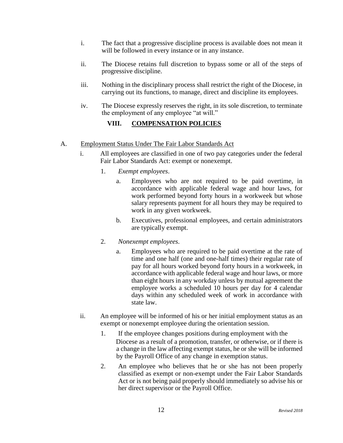- i. The fact that a progressive discipline process is available does not mean it will be followed in every instance or in any instance.
- ii. The Diocese retains full discretion to bypass some or all of the steps of progressive discipline.
- iii. Nothing in the disciplinary process shall restrict the right of the Diocese, in carrying out its functions, to manage, direct and discipline its employees.
- iv. The Diocese expressly reserves the right, in its sole discretion, to terminate the employment of any employee "at will."

# **VIII. COMPENSATION POLICIES**

# A. Employment Status Under The Fair Labor Standards Act

- i. All employees are classified in one of two pay categories under the federal Fair Labor Standards Act: exempt or nonexempt.
	- 1. *Exempt employees*.
		- a. Employees who are not required to be paid overtime, in accordance with applicable federal wage and hour laws, for work performed beyond forty hours in a workweek but whose salary represents payment for all hours they may be required to work in any given workweek.
		- b. Executives, professional employees, and certain administrators are typically exempt.
	- 2. *Nonexempt employees*.
		- a. Employees who are required to be paid overtime at the rate of time and one half (one and one-half times) their regular rate of pay for all hours worked beyond forty hours in a workweek, in accordance with applicable federal wage and hour laws, or more than eight hours in any workday unless by mutual agreement the employee works a scheduled 10 hours per day for 4 calendar days within any scheduled week of work in accordance with state law.
- ii. An employee will be informed of his or her initial employment status as an exempt or nonexempt employee during the orientation session.
	- 1. If the employee changes positions during employment with the Diocese as a result of a promotion, transfer, or otherwise, or if there is a change in the law affecting exempt status, he or she will be informed by the Payroll Office of any change in exemption status.
	- 2. An employee who believes that he or she has not been properly classified as exempt or non-exempt under the Fair Labor Standards Act or is not being paid properly should immediately so advise his or her direct supervisor or the Payroll Office.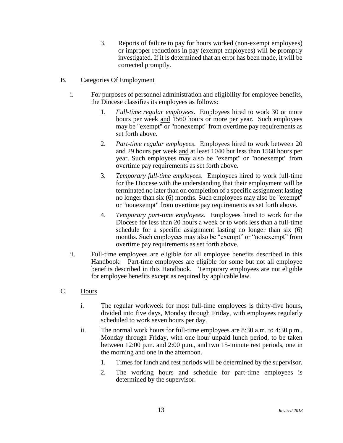3. Reports of failure to pay for hours worked (non-exempt employees) or improper reductions in pay (exempt employees) will be promptly investigated. If it is determined that an error has been made, it will be corrected promptly.

# B. Categories Of Employment

- i. For purposes of personnel administration and eligibility for employee benefits, the Diocese classifies its employees as follows:
	- 1. *Full-time regular employees*. Employees hired to work 30 or more hours per week and 1560 hours or more per year. Such employees may be "exempt" or "nonexempt" from overtime pay requirements as set forth above.
	- 2. *Part-time regular employees*. Employees hired to work between 20 and 29 hours per week and at least 1040 but less than 1560 hours per year. Such employees may also be "exempt" or "nonexempt" from overtime pay requirements as set forth above.
	- 3. *Temporary full-time employees*. Employees hired to work full-time for the Diocese with the understanding that their employment will be terminated no later than on completion of a specific assignment lasting no longer than six (6) months. Such employees may also be "exempt" or "nonexempt" from overtime pay requirements as set forth above.
	- 4. *Temporary part-time employees.* Employees hired to work for the Diocese for less than 20 hours a week or to work less than a full-time schedule for a specific assignment lasting no longer than six (6) months. Such employees may also be "exempt" or "nonexempt" from overtime pay requirements as set forth above.
- ii. Full-time employees are eligible for all employee benefits described in this Handbook. Part-time employees are eligible for some but not all employee benefits described in this Handbook. Temporary employees are not eligible for employee benefits except as required by applicable law.

# C. Hours

- i. The regular workweek for most full-time employees is thirty-five hours, divided into five days, Monday through Friday, with employees regularly scheduled to work seven hours per day.
- ii. The normal work hours for full-time employees are 8:30 a.m. to 4:30 p.m., Monday through Friday, with one hour unpaid lunch period, to be taken between 12:00 p.m. and 2:00 p.m., and two 15-minute rest periods, one in the morning and one in the afternoon.
	- 1. Times for lunch and rest periods will be determined by the supervisor.
	- 2. The working hours and schedule for part-time employees is determined by the supervisor.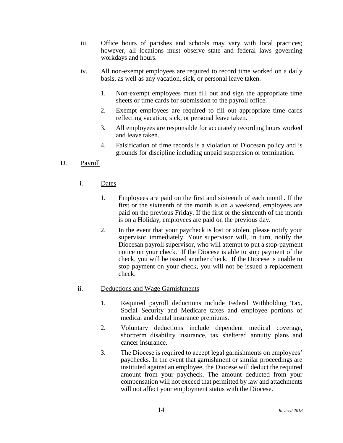- iii. Office hours of parishes and schools may vary with local practices; however, all locations must observe state and federal laws governing workdays and hours.
- iv. All non-exempt employees are required to record time worked on a daily basis, as well as any vacation, sick, or personal leave taken.
	- 1. Non-exempt employees must fill out and sign the appropriate time sheets or time cards for submission to the payroll office.
	- 2. Exempt employees are required to fill out appropriate time cards reflecting vacation, sick, or personal leave taken.
	- 3. All employees are responsible for accurately recording hours worked and leave taken.
	- 4. Falsification of time records is a violation of Diocesan policy and is grounds for discipline including unpaid suspension or termination.

# D. Payroll

- i. Dates
	- 1. Employees are paid on the first and sixteenth of each month. If the first or the sixteenth of the month is on a weekend, employees are paid on the previous Friday. If the first or the sixteenth of the month is on a Holiday, employees are paid on the previous day.
	- 2. In the event that your paycheck is lost or stolen, please notify your supervisor immediately. Your supervisor will, in turn, notify the Diocesan payroll supervisor, who will attempt to put a stop-payment notice on your check. If the Diocese is able to stop payment of the check, you will be issued another check. If the Diocese is unable to stop payment on your check, you will not be issued a replacement check.

# ii. Deductions and Wage Garnishments

- 1. Required payroll deductions include Federal Withholding Tax, Social Security and Medicare taxes and employee portions of medical and dental insurance premiums.
- 2. Voluntary deductions include dependent medical coverage, shortterm disability insurance, tax sheltered annuity plans and cancer insurance.
- 3. The Diocese is required to accept legal garnishments on employees' paychecks. In the event that garnishment or similar proceedings are instituted against an employee, the Diocese will deduct the required amount from your paycheck. The amount deducted from your compensation will not exceed that permitted by law and attachments will not affect your employment status with the Diocese.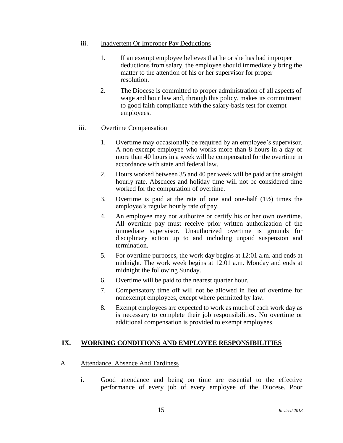#### iii. Inadvertent Or Improper Pay Deductions

- 1. If an exempt employee believes that he or she has had improper deductions from salary, the employee should immediately bring the matter to the attention of his or her supervisor for proper resolution.
- 2. The Diocese is committed to proper administration of all aspects of wage and hour law and, through this policy, makes its commitment to good faith compliance with the salary-basis test for exempt employees.

# iii. Overtime Compensation

- 1. Overtime may occasionally be required by an employee's supervisor. A non-exempt employee who works more than 8 hours in a day or more than 40 hours in a week will be compensated for the overtime in accordance with state and federal law.
- 2. Hours worked between 35 and 40 per week will be paid at the straight hourly rate. Absences and holiday time will not be considered time worked for the computation of overtime.
- 3. Overtime is paid at the rate of one and one-half (1½) times the employee's regular hourly rate of pay.
- 4. An employee may not authorize or certify his or her own overtime. All overtime pay must receive prior written authorization of the immediate supervisor. Unauthorized overtime is grounds for disciplinary action up to and including unpaid suspension and termination.
- 5. For overtime purposes, the work day begins at 12:01 a.m. and ends at midnight. The work week begins at 12:01 a.m. Monday and ends at midnight the following Sunday.
- 6. Overtime will be paid to the nearest quarter hour.
- 7. Compensatory time off will not be allowed in lieu of overtime for nonexempt employees, except where permitted by law.
- 8. Exempt employees are expected to work as much of each work day as is necessary to complete their job responsibilities. No overtime or additional compensation is provided to exempt employees.

# **IX. WORKING CONDITIONS AND EMPLOYEE RESPONSIBILITIES**

# A. Attendance, Absence And Tardiness

i. Good attendance and being on time are essential to the effective performance of every job of every employee of the Diocese. Poor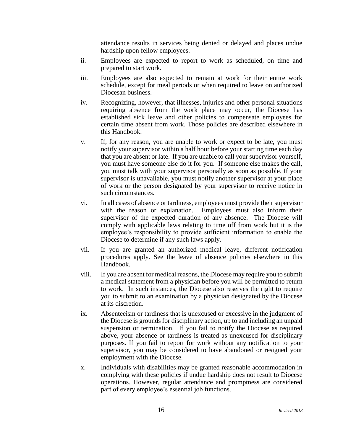attendance results in services being denied or delayed and places undue hardship upon fellow employees.

- ii. Employees are expected to report to work as scheduled, on time and prepared to start work.
- iii. Employees are also expected to remain at work for their entire work schedule, except for meal periods or when required to leave on authorized Diocesan business.
- iv. Recognizing, however, that illnesses, injuries and other personal situations requiring absence from the work place may occur, the Diocese has established sick leave and other policies to compensate employees for certain time absent from work. Those policies are described elsewhere in this Handbook.
- v. If, for any reason, you are unable to work or expect to be late, you must notify your supervisor within a half hour before your starting time each day that you are absent or late. If you are unable to call your supervisor yourself, you must have someone else do it for you. If someone else makes the call, you must talk with your supervisor personally as soon as possible. If your supervisor is unavailable, you must notify another supervisor at your place of work or the person designated by your supervisor to receive notice in such circumstances.
- vi. In all cases of absence or tardiness, employees must provide their supervisor with the reason or explanation. Employees must also inform their supervisor of the expected duration of any absence. The Diocese will comply with applicable laws relating to time off from work but it is the employee's responsibility to provide sufficient information to enable the Diocese to determine if any such laws apply.
- vii. If you are granted an authorized medical leave, different notification procedures apply. See the leave of absence policies elsewhere in this Handbook.
- viii. If you are absent for medical reasons, the Diocese may require you to submit a medical statement from a physician before you will be permitted to return to work. In such instances, the Diocese also reserves the right to require you to submit to an examination by a physician designated by the Diocese at its discretion.
- ix. Absenteeism or tardiness that is unexcused or excessive in the judgment of the Diocese is grounds for disciplinary action, up to and including an unpaid suspension or termination. If you fail to notify the Diocese as required above, your absence or tardiness is treated as unexcused for disciplinary purposes. If you fail to report for work without any notification to your supervisor, you may be considered to have abandoned or resigned your employment with the Diocese.
- x. Individuals with disabilities may be granted reasonable accommodation in complying with these policies if undue hardship does not result to Diocese operations. However, regular attendance and promptness are considered part of every employee's essential job functions.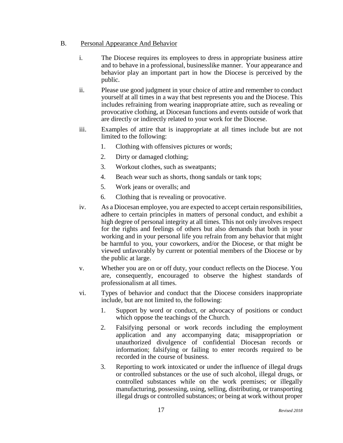# B. Personal Appearance And Behavior

- i. The Diocese requires its employees to dress in appropriate business attire and to behave in a professional, businesslike manner. Your appearance and behavior play an important part in how the Diocese is perceived by the public.
- ii. Please use good judgment in your choice of attire and remember to conduct yourself at all times in a way that best represents you and the Diocese. This includes refraining from wearing inappropriate attire, such as revealing or provocative clothing, at Diocesan functions and events outside of work that are directly or indirectly related to your work for the Diocese.
- iii. Examples of attire that is inappropriate at all times include but are not limited to the following:
	- 1. Clothing with offensives pictures or words;
	- 2. Dirty or damaged clothing;
	- 3. Workout clothes, such as sweatpants;
	- 4. Beach wear such as shorts, thong sandals or tank tops;
	- 5. Work jeans or overalls; and
	- 6. Clothing that is revealing or provocative.
- iv. As a Diocesan employee, you are expected to accept certain responsibilities, adhere to certain principles in matters of personal conduct, and exhibit a high degree of personal integrity at all times. This not only involves respect for the rights and feelings of others but also demands that both in your working and in your personal life you refrain from any behavior that might be harmful to you, your coworkers, and/or the Diocese, or that might be viewed unfavorably by current or potential members of the Diocese or by the public at large.
- v. Whether you are on or off duty, your conduct reflects on the Diocese. You are, consequently, encouraged to observe the highest standards of professionalism at all times.
- vi. Types of behavior and conduct that the Diocese considers inappropriate include, but are not limited to, the following:
	- 1. Support by word or conduct, or advocacy of positions or conduct which oppose the teachings of the Church.
	- 2. Falsifying personal or work records including the employment application and any accompanying data; misappropriation or unauthorized divulgence of confidential Diocesan records or information; falsifying or failing to enter records required to be recorded in the course of business.
	- 3. Reporting to work intoxicated or under the influence of illegal drugs or controlled substances or the use of such alcohol, illegal drugs, or controlled substances while on the work premises; or illegally manufacturing, possessing, using, selling, distributing, or transporting illegal drugs or controlled substances; or being at work without proper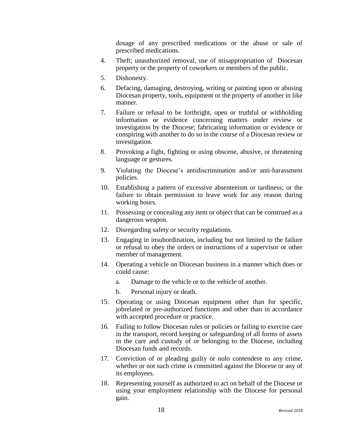dosage of any prescribed medications or the abuse or sale of prescribed medications.

- 4. Theft; unauthorized removal, use of misappropriation of Diocesan property or the property of coworkers or members of the public.
- 5. Dishonesty.
- 6. Defacing, damaging, destroying, writing or painting upon or abusing Diocesan property, tools, equipment or the property of another in like manner.
- 7. Failure or refusal to be forthright, open or truthful or withholding information or evidence concerning matters under review or investigation by the Diocese; fabricating information or evidence or conspiring with another to do so in the course of a Diocesan review or investigation.
- 8. Provoking a fight, fighting or using obscene, abusive, or threatening language or gestures.
- 9. Violating the Diocese's antidiscrimination and/or anti-harassment policies.
- 10. Establishing a pattern of excessive absenteeism or tardiness; or the failure to obtain permission to leave work for any reason during working hours.
- 11. Possessing or concealing any item or object that can be construed as a dangerous weapon.
- 12. Disregarding safety or security regulations.
- 13. Engaging in insubordination, including but not limited to the failure or refusal to obey the orders or instructions of a supervisor or other member of management.
- 14. Operating a vehicle on Diocesan business in a manner which does or could cause:
	- a. Damage to the vehicle or to the vehicle of another.
	- b. Personal injury or death.
- 15. Operating or using Diocesan equipment other than for specific, jobrelated or pre-authorized functions and other than in accordance with accepted procedure or practice.
- 16. Failing to follow Diocesan rules or policies or failing to exercise care in the transport, record keeping or safeguarding of all forms of assets in the care and custody of or belonging to the Diocese, including Diocesan funds and records.
- 17. Conviction of or pleading guilty or nolo contendere to any crime, whether or not such crime is committed against the Diocese or any of its employees.
- 18. Representing yourself as authorized to act on behalf of the Diocese or using your employment relationship with the Diocese for personal gain.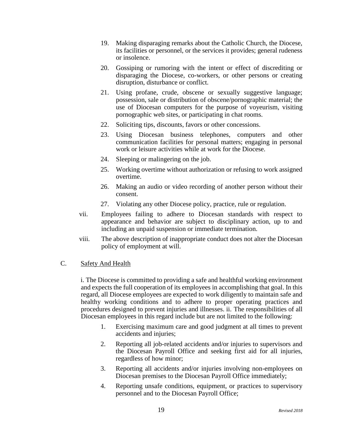- 19. Making disparaging remarks about the Catholic Church, the Diocese, its facilities or personnel, or the services it provides; general rudeness or insolence.
- 20. Gossiping or rumoring with the intent or effect of discrediting or disparaging the Diocese, co-workers, or other persons or creating disruption, disturbance or conflict.
- 21. Using profane, crude, obscene or sexually suggestive language; possession, sale or distribution of obscene/pornographic material; the use of Diocesan computers for the purpose of voyeurism, visiting pornographic web sites, or participating in chat rooms.
- 22. Soliciting tips, discounts, favors or other concessions.
- 23. Using Diocesan business telephones, computers and other communication facilities for personal matters; engaging in personal work or leisure activities while at work for the Diocese.
- 24. Sleeping or malingering on the job.
- 25. Working overtime without authorization or refusing to work assigned overtime.
- 26. Making an audio or video recording of another person without their consent.
- 27. Violating any other Diocese policy, practice, rule or regulation.
- vii. Employees failing to adhere to Diocesan standards with respect to appearance and behavior are subject to disciplinary action, up to and including an unpaid suspension or immediate termination.
- viii. The above description of inappropriate conduct does not alter the Diocesan policy of employment at will.

# C. Safety And Health

i. The Diocese is committed to providing a safe and healthful working environment and expects the full cooperation of its employees in accomplishing that goal. In this regard, all Diocese employees are expected to work diligently to maintain safe and healthy working conditions and to adhere to proper operating practices and procedures designed to prevent injuries and illnesses. ii. The responsibilities of all Diocesan employees in this regard include but are not limited to the following:

- 1. Exercising maximum care and good judgment at all times to prevent accidents and injuries;
- 2. Reporting all job-related accidents and/or injuries to supervisors and the Diocesan Payroll Office and seeking first aid for all injuries, regardless of how minor;
- 3. Reporting all accidents and/or injuries involving non-employees on Diocesan premises to the Diocesan Payroll Office immediately;
- 4. Reporting unsafe conditions, equipment, or practices to supervisory personnel and to the Diocesan Payroll Office;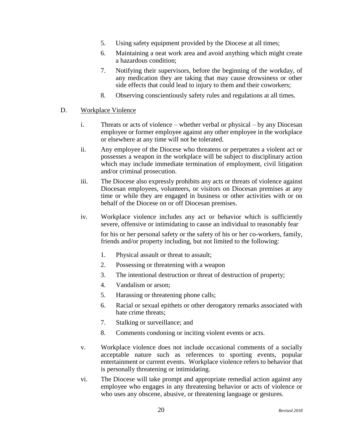- 5. Using safety equipment provided by the Diocese at all times;
- 6. Maintaining a neat work area and avoid anything which might create a hazardous condition;
- 7. Notifying their supervisors, before the beginning of the workday, of any medication they are taking that may cause drowsiness or other side effects that could lead to injury to them and their coworkers;
- 8. Observing conscientiously safety rules and regulations at all times.

#### D. Workplace Violence

- i. Threats or acts of violence whether verbal or physical by any Diocesan employee or former employee against any other employee in the workplace or elsewhere at any time will not be tolerated.
- ii. Any employee of the Diocese who threatens or perpetrates a violent act or possesses a weapon in the workplace will be subject to disciplinary action which may include immediate termination of employment, civil litigation and/or criminal prosecution.
- iii. The Diocese also expressly prohibits any acts or threats of violence against Diocesan employees, volunteers, or visitors on Diocesan premises at any time or while they are engaged in business or other activities with or on behalf of the Diocese on or off Diocesan premises.
- iv. Workplace violence includes any act or behavior which is sufficiently severe, offensive or intimidating to cause an individual to reasonably fear

for his or her personal safety or the safety of his or her co-workers, family, friends and/or property including, but not limited to the following:

- 1. Physical assault or threat to assault;
- 2. Possessing or threatening with a weapon
- 3. The intentional destruction or threat of destruction of property;
- 4. Vandalism or arson;
- 5. Harassing or threatening phone calls;
- 6. Racial or sexual epithets or other derogatory remarks associated with hate crime threats;
- 7. Stalking or surveillance; and
- 8. Comments condoning or inciting violent events or acts.
- v. Workplace violence does not include occasional comments of a socially acceptable nature such as references to sporting events, popular entertainment or current events. Workplace violence refers to behavior that is personally threatening or intimidating.
- vi. The Diocese will take prompt and appropriate remedial action against any employee who engages in any threatening behavior or acts of violence or who uses any obscene, abusive, or threatening language or gestures.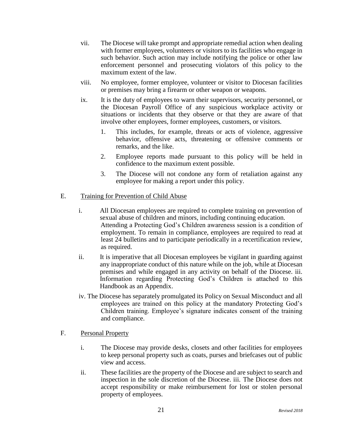- vii. The Diocese will take prompt and appropriate remedial action when dealing with former employees, volunteers or visitors to its facilities who engage in such behavior. Such action may include notifying the police or other law enforcement personnel and prosecuting violators of this policy to the maximum extent of the law.
- viii. No employee, former employee, volunteer or visitor to Diocesan facilities or premises may bring a firearm or other weapon or weapons.
- ix. It is the duty of employees to warn their supervisors, security personnel, or the Diocesan Payroll Office of any suspicious workplace activity or situations or incidents that they observe or that they are aware of that involve other employees, former employees, customers, or visitors.
	- 1. This includes, for example, threats or acts of violence, aggressive behavior, offensive acts, threatening or offensive comments or remarks, and the like.
	- 2. Employee reports made pursuant to this policy will be held in confidence to the maximum extent possible.
	- 3. The Diocese will not condone any form of retaliation against any employee for making a report under this policy.

# E. Training for Prevention of Child Abuse

- i. All Diocesan employees are required to complete training on prevention of sexual abuse of children and minors, including continuing education. Attending a Protecting God's Children awareness session is a condition of employment. To remain in compliance, employees are required to read at least 24 bulletins and to participate periodically in a recertification review, as required.
- ii. It is imperative that all Diocesan employees be vigilant in guarding against any inappropriate conduct of this nature while on the job, while at Diocesan premises and while engaged in any activity on behalf of the Diocese. iii. Information regarding Protecting God's Children is attached to this Handbook as an Appendix.
- iv. The Diocese has separately promulgated its Policy on Sexual Misconduct and all employees are trained on this policy at the mandatory Protecting God's Children training. Employee's signature indicates consent of the training and compliance.

# F. Personal Property

- i. The Diocese may provide desks, closets and other facilities for employees to keep personal property such as coats, purses and briefcases out of public view and access.
- ii. These facilities are the property of the Diocese and are subject to search and inspection in the sole discretion of the Diocese. iii. The Diocese does not accept responsibility or make reimbursement for lost or stolen personal property of employees.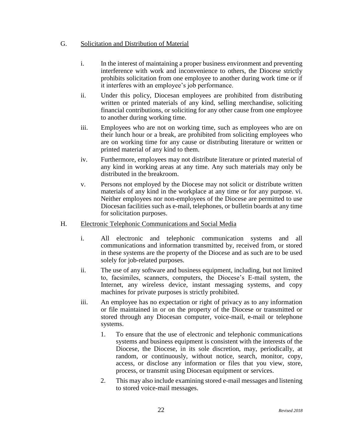# G. Solicitation and Distribution of Material

- i. In the interest of maintaining a proper business environment and preventing interference with work and inconvenience to others, the Diocese strictly prohibits solicitation from one employee to another during work time or if it interferes with an employee's job performance.
- ii. Under this policy, Diocesan employees are prohibited from distributing written or printed materials of any kind, selling merchandise, soliciting financial contributions, or soliciting for any other cause from one employee to another during working time.
- iii. Employees who are not on working time, such as employees who are on their lunch hour or a break, are prohibited from soliciting employees who are on working time for any cause or distributing literature or written or printed material of any kind to them.
- iv. Furthermore, employees may not distribute literature or printed material of any kind in working areas at any time. Any such materials may only be distributed in the breakroom.
- v. Persons not employed by the Diocese may not solicit or distribute written materials of any kind in the workplace at any time or for any purpose. vi. Neither employees nor non-employees of the Diocese are permitted to use Diocesan facilities such as e-mail, telephones, or bulletin boards at any time for solicitation purposes.
- H. Electronic Telephonic Communications and Social Media
	- i. All electronic and telephonic communication systems and all communications and information transmitted by, received from, or stored in these systems are the property of the Diocese and as such are to be used solely for job-related purposes.
	- ii. The use of any software and business equipment, including, but not limited to, facsimiles, scanners, computers, the Diocese's E-mail system, the Internet, any wireless device, instant messaging systems, and copy machines for private purposes is strictly prohibited.
	- iii. An employee has no expectation or right of privacy as to any information or file maintained in or on the property of the Diocese or transmitted or stored through any Diocesan computer, voice-mail, e-mail or telephone systems.
		- 1. To ensure that the use of electronic and telephonic communications systems and business equipment is consistent with the interests of the Diocese, the Diocese, in its sole discretion, may, periodically, at random, or continuously, without notice, search, monitor, copy, access, or disclose any information or files that you view, store, process, or transmit using Diocesan equipment or services.
		- 2. This may also include examining stored e-mail messages and listening to stored voice-mail messages.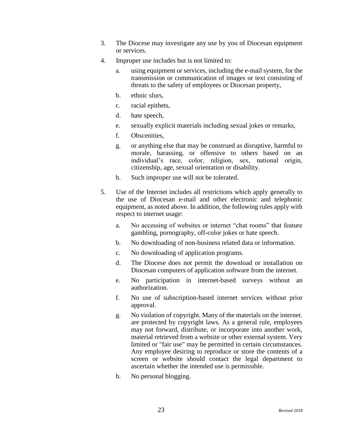- 3. The Diocese may investigate any use by you of Diocesan equipment or services.
- 4. Improper use includes but is not limited to:
	- a. using equipment or services, including the e-mail system, for the transmission or communication of images or text consisting of threats to the safety of employees or Diocesan property,
	- b. ethnic slurs,
	- c. racial epithets,
	- d. hate speech,
	- e. sexually explicit materials including sexual jokes or remarks,
	- f. Obscenities,
	- g. or anything else that may be construed as disruptive, harmful to morale, harassing, or offensive to others based on an individual's race, color, religion, sex, national origin, citizenship, age, sexual orientation or disability.
	- h. Such improper use will not be tolerated.
- 5. Use of the Internet includes all restrictions which apply generally to the use of Diocesan e-mail and other electronic and telephonic equipment, as noted above. In addition, the following rules apply with respect to internet usage:
	- a. No accessing of websites or internet "chat rooms" that feature gambling, pornography, off-color jokes or hate speech.
	- b. No downloading of non-business related data or information.
	- c. No downloading of application programs.
	- d. The Diocese does not permit the download or installation on Diocesan computers of application software from the internet.
	- e. No participation in internet-based surveys without an authorization.
	- f. No use of subscription-based internet services without prior approval.
	- g. No violation of copyright. Many of the materials on the internet. are protected by copyright laws. As a general rule, employees may not forward, distribute, or incorporate into another work, material retrieved from a website or other external system. Very limited or "fair use" may be permitted in certain circumstances. Any employee desiring to reproduce or store the contents of a screen or website should contact the legal department to ascertain whether the intended use is permissible.
	- h. No personal blogging.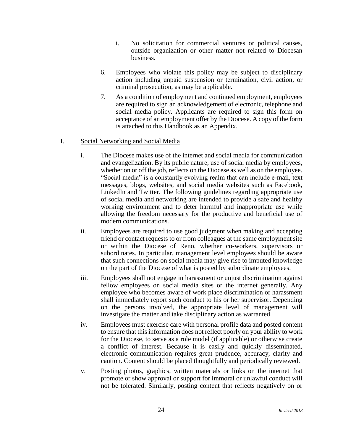- i. No solicitation for commercial ventures or political causes, outside organization or other matter not related to Diocesan business.
- 6. Employees who violate this policy may be subject to disciplinary action including unpaid suspension or termination, civil action, or criminal prosecution, as may be applicable.
- 7. As a condition of employment and continued employment, employees are required to sign an acknowledgement of electronic, telephone and social media policy. Applicants are required to sign this form on acceptance of an employment offer by the Diocese. A copy of the form is attached to this Handbook as an Appendix.

# I. Social Networking and Social Media

- i. The Diocese makes use of the internet and social media for communication and evangelization. By its public nature, use of social media by employees, whether on or off the job, reflects on the Diocese as well as on the employee. "Social media" is a constantly evolving realm that can include e-mail, text messages, blogs, websites, and social media websites such as Facebook, LinkedIn and Twitter. The following guidelines regarding appropriate use of social media and networking are intended to provide a safe and healthy working environment and to deter harmful and inappropriate use while allowing the freedom necessary for the productive and beneficial use of modern communications.
- ii. Employees are required to use good judgment when making and accepting friend or contact requests to or from colleagues at the same employment site or within the Diocese of Reno, whether co-workers, supervisors or subordinates. In particular, management level employees should be aware that such connections on social media may give rise to imputed knowledge on the part of the Diocese of what is posted by subordinate employees.
- iii. Employees shall not engage in harassment or unjust discrimination against fellow employees on social media sites or the internet generally. Any employee who becomes aware of work place discrimination or harassment shall immediately report such conduct to his or her supervisor. Depending on the persons involved, the appropriate level of management will investigate the matter and take disciplinary action as warranted.
- iv. Employees must exercise care with personal profile data and posted content to ensure that this information does not reflect poorly on your ability to work for the Diocese, to serve as a role model (if applicable) or otherwise create a conflict of interest. Because it is easily and quickly disseminated, electronic communication requires great prudence, accuracy, clarity and caution. Content should be placed thoughtfully and periodically reviewed.
- v. Posting photos, graphics, written materials or links on the internet that promote or show approval or support for immoral or unlawful conduct will not be tolerated. Similarly, posting content that reflects negatively on or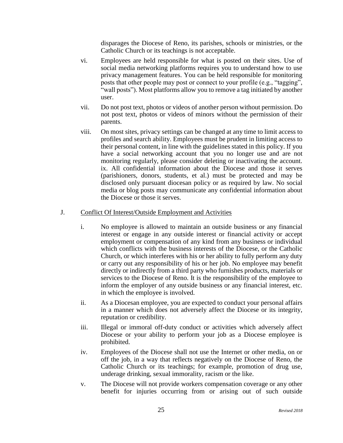disparages the Diocese of Reno, its parishes, schools or ministries, or the Catholic Church or its teachings is not acceptable.

- vi. Employees are held responsible for what is posted on their sites. Use of social media networking platforms requires you to understand how to use privacy management features. You can be held responsible for monitoring posts that other people may post or connect to your profile (e.g., "tagging", "wall posts"). Most platforms allow you to remove a tag initiated by another user.
- vii. Do not post text, photos or videos of another person without permission. Do not post text, photos or videos of minors without the permission of their parents.
- viii. On most sites, privacy settings can be changed at any time to limit access to profiles and search ability. Employees must be prudent in limiting access to their personal content, in line with the guidelines stated in this policy. If you have a social networking account that you no longer use and are not monitoring regularly, please consider deleting or inactivating the account. ix. All confidential information about the Diocese and those it serves (parishioners, donors, students, et al.) must be protected and may be disclosed only pursuant diocesan policy or as required by law. No social media or blog posts may communicate any confidential information about the Diocese or those it serves.

#### J. Conflict Of Interest/Outside Employment and Activities

- i. No employee is allowed to maintain an outside business or any financial interest or engage in any outside interest or financial activity or accept employment or compensation of any kind from any business or individual which conflicts with the business interests of the Diocese, or the Catholic Church, or which interferes with his or her ability to fully perform any duty or carry out any responsibility of his or her job. No employee may benefit directly or indirectly from a third party who furnishes products, materials or services to the Diocese of Reno. It is the responsibility of the employee to inform the employer of any outside business or any financial interest, etc. in which the employee is involved.
- ii. As a Diocesan employee, you are expected to conduct your personal affairs in a manner which does not adversely affect the Diocese or its integrity, reputation or credibility.
- iii. Illegal or immoral off-duty conduct or activities which adversely affect Diocese or your ability to perform your job as a Diocese employee is prohibited.
- iv. Employees of the Diocese shall not use the Internet or other media, on or off the job, in a way that reflects negatively on the Diocese of Reno, the Catholic Church or its teachings; for example, promotion of drug use, underage drinking, sexual immorality, racism or the like.
- v. The Diocese will not provide workers compensation coverage or any other benefit for injuries occurring from or arising out of such outside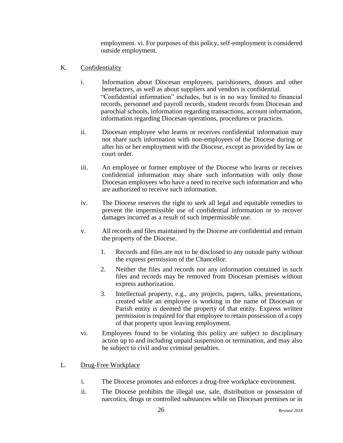employment. vi. For purposes of this policy, self-employment is considered outside employment.

- K. Confidentiality
	- i. Information about Diocesan employees, parishioners, donors and other benefactors, as well as about suppliers and vendors is confidential. "Confidential information" includes, but is in no way limited to financial records, personnel and payroll records, student records from Diocesan and parochial schools, information regarding transactions, account information, information regarding Diocesan operations, procedures or practices.
	- ii. Diocesan employee who learns or receives confidential information may not share such information with non-employees of the Diocese during or after his or her employment with the Diocese, except as provided by law or court order.
	- iii. An employee or former employee of the Diocese who learns or receives confidential information may share such information with only those Diocesan employees who have a need to receive such information and who are authorized to receive such information.
	- iv. The Diocese reserves the right to seek all legal and equitable remedies to prevent the impermissible use of confidential information or to recover damages incurred as a result of such impermissible use.
	- v. All records and files maintained by the Diocese are confidential and remain the property of the Diocese.
		- 1. Records and files are not to be disclosed to any outside party without the express permission of the Chancellor.
		- 2. Neither the files and records nor any information contained in such files and records may be removed from Diocesan premises without express authorization.
		- 3. Intellectual property, e.g., any projects, papers, talks, presentations, created while an employee is working in the name of Diocesan or Parish entity is deemed the property of that entity. Express written permission is required for that employee to retain possession of a copy of that property upon leaving employment.
	- vi. Employees found to be violating this policy are subject to disciplinary action up to and including unpaid suspension or termination, and may also be subject to civil and/or criminal penalties.
- L. Drug-Free Workplace
	- i. The Diocese promotes and enforces a drug-free workplace environment.
	- ii. The Diocese prohibits the illegal use, sale, distribution or possession of narcotics, drugs or controlled substances while on Diocesan premises or in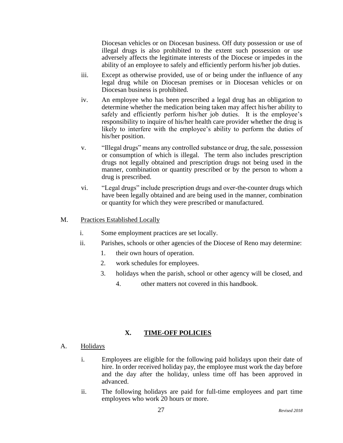Diocesan vehicles or on Diocesan business. Off duty possession or use of illegal drugs is also prohibited to the extent such possession or use adversely affects the legitimate interests of the Diocese or impedes in the ability of an employee to safely and efficiently perform his/her job duties.

- iii. Except as otherwise provided, use of or being under the influence of any legal drug while on Diocesan premises or in Diocesan vehicles or on Diocesan business is prohibited.
- iv. An employee who has been prescribed a legal drug has an obligation to determine whether the medication being taken may affect his/her ability to safely and efficiently perform his/her job duties. It is the employee's responsibility to inquire of his/her health care provider whether the drug is likely to interfere with the employee's ability to perform the duties of his/her position.
- v. "Illegal drugs" means any controlled substance or drug, the sale, possession or consumption of which is illegal. The term also includes prescription drugs not legally obtained and prescription drugs not being used in the manner, combination or quantity prescribed or by the person to whom a drug is prescribed.
- vi. "Legal drugs" include prescription drugs and over-the-counter drugs which have been legally obtained and are being used in the manner, combination or quantity for which they were prescribed or manufactured.

# M. Practices Established Locally

- i. Some employment practices are set locally.
- ii. Parishes, schools or other agencies of the Diocese of Reno may determine:
	- 1. their own hours of operation.
	- 2. work schedules for employees.
	- 3. holidays when the parish, school or other agency will be closed, and
		- 4. other matters not covered in this handbook.

# **X. TIME-OFF POLICIES**

# A. Holidays

- i. Employees are eligible for the following paid holidays upon their date of hire. In order received holiday pay, the employee must work the day before and the day after the holiday, unless time off has been approved in advanced.
- ii. The following holidays are paid for full-time employees and part time employees who work 20 hours or more.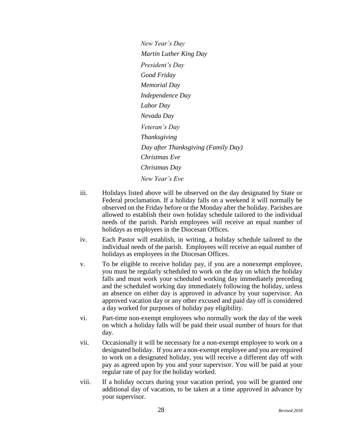*New Year's Day Martin Luther King Day President's Day Good Friday Memorial Day Independence Day Labor Day Nevada Day Veteran's Day Thanksgiving Day after Thanksgiving (Family Day) Christmas Eve Christmas Day New Year's Eve*

- iii. Holidays listed above will be observed on the day designated by State or Federal proclamation. If a holiday falls on a weekend it will normally be observed on the Friday before or the Monday after the holiday. Parishes are allowed to establish their own holiday schedule tailored to the individual needs of the parish. Parish employees will receive an equal number of holidays as employees in the Diocesan Offices.
- iv. Each Pastor will establish, in writing, a holiday schedule tailored to the individual needs of the parish. Employees will receive an equal number of holidays as employees in the Diocesan Offices.
- v. To be eligible to receive holiday pay, if you are a nonexempt employee, you must be regularly scheduled to work on the day on which the holiday falls and must work your scheduled working day immediately preceding and the scheduled working day immediately following the holiday, unless an absence on either day is approved in advance by your supervisor. An approved vacation day or any other excused and paid day off is considered a day worked for purposes of holiday pay eligibility.
- vi. Part-time non-exempt employees who normally work the day of the week on which a holiday falls will be paid their usual number of hours for that day.
- vii. Occasionally it will be necessary for a non-exempt employee to work on a designated holiday. If you are a non-exempt employee and you are required to work on a designated holiday, you will receive a different day off with pay as agreed upon by you and your supervisor. You will be paid at your regular rate of pay for the holiday worked.
- viii. If a holiday occurs during your vacation period, you will be granted one additional day of vacation, to be taken at a time approved in advance by your supervisor.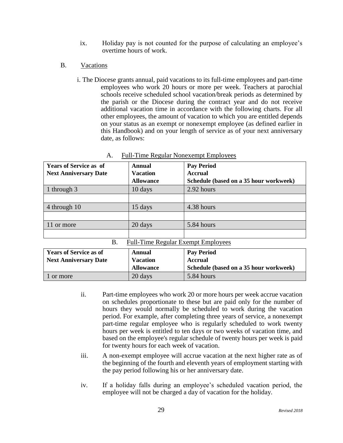- ix. Holiday pay is not counted for the purpose of calculating an employee's overtime hours of work.
- B. Vacations
	- i. The Diocese grants annual, paid vacations to its full-time employees and part-time employees who work 20 hours or more per week. Teachers at parochial schools receive scheduled school vacation/break periods as determined by the parish or the Diocese during the contract year and do not receive additional vacation time in accordance with the following charts. For all other employees, the amount of vacation to which you are entitled depends on your status as an exempt or nonexempt employee (as defined earlier in this Handbook) and on your length of service as of your next anniversary date, as follows:

| <b>Years of Service as of</b><br><b>Next Anniversary Date</b> | Annual<br><b>Vacation</b><br><b>Allowance</b> | <b>Pay Period</b><br><b>Accrual</b><br>Schedule (based on a 35 hour workweek) |  |  |
|---------------------------------------------------------------|-----------------------------------------------|-------------------------------------------------------------------------------|--|--|
| 1 through 3                                                   | 10 days                                       | 2.92 hours                                                                    |  |  |
|                                                               |                                               |                                                                               |  |  |
| 4 through 10                                                  | 15 days                                       | 4.38 hours                                                                    |  |  |
|                                                               |                                               |                                                                               |  |  |
| 11 or more                                                    | 20 days                                       | 5.84 hours                                                                    |  |  |
|                                                               |                                               |                                                                               |  |  |
| <b>Full-Time Regular Exempt Employees</b><br><b>B.</b>        |                                               |                                                                               |  |  |

| A. |  | <b>Full-Time Regular Nonexempt Employees</b> |
|----|--|----------------------------------------------|
|    |  |                                              |

| Full-Thine Regular Exempt Employees |                  |                                        |  |  |  |
|-------------------------------------|------------------|----------------------------------------|--|--|--|
| <b>Years of Service as of</b>       | Annual           | <b>Pay Period</b>                      |  |  |  |
| <b>Next Anniversary Date</b>        | <b>Vacation</b>  | <b>Accrual</b>                         |  |  |  |
|                                     | <b>Allowance</b> | Schedule (based on a 35 hour workweek) |  |  |  |
| 1 or more                           | 20 days          | 5.84 hours                             |  |  |  |

- ii. Part-time employees who work 20 or more hours per week accrue vacation on schedules proportionate to these but are paid only for the number of hours they would normally be scheduled to work during the vacation period. For example, after completing three years of service, a nonexempt part-time regular employee who is regularly scheduled to work twenty hours per week is entitled to ten days or two weeks of vacation time, and based on the employee's regular schedule of twenty hours per week is paid for twenty hours for each week of vacation.
- iii. A non-exempt employee will accrue vacation at the next higher rate as of the beginning of the fourth and eleventh years of employment starting with the pay period following his or her anniversary date.
- iv. If a holiday falls during an employee's scheduled vacation period, the employee will not be charged a day of vacation for the holiday.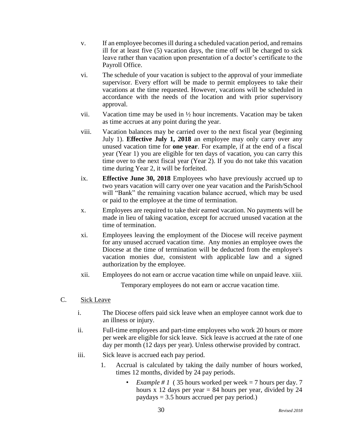- v. If an employee becomes ill during a scheduled vacation period, and remains ill for at least five (5) vacation days, the time off will be charged to sick leave rather than vacation upon presentation of a doctor's certificate to the Payroll Office.
- vi. The schedule of your vacation is subject to the approval of your immediate supervisor. Every effort will be made to permit employees to take their vacations at the time requested. However, vacations will be scheduled in accordance with the needs of the location and with prior supervisory approval.
- vii. Vacation time may be used in  $\frac{1}{2}$  hour increments. Vacation may be taken as time accrues at any point during the year.
- viii. Vacation balances may be carried over to the next fiscal year (beginning July 1). **Effective July 1, 2018** an employee may only carry over any unused vacation time for **one year**. For example, if at the end of a fiscal year (Year 1) you are eligible for ten days of vacation, you can carry this time over to the next fiscal year (Year 2). If you do not take this vacation time during Year 2, it will be forfeited.
- ix. **Effective June 30, 2018** Employees who have previously accrued up to two years vacation will carry over one year vacation and the Parish/School will "Bank" the remaining vacation balance accrued, which may be used or paid to the employee at the time of termination.
- x. Employees are required to take their earned vacation. No payments will be made in lieu of taking vacation, except for accrued unused vacation at the time of termination.
- xi. Employees leaving the employment of the Diocese will receive payment for any unused accrued vacation time. Any monies an employee owes the Diocese at the time of termination will be deducted from the employee's vacation monies due, consistent with applicable law and a signed authorization by the employee.
- xii. Employees do not earn or accrue vacation time while on unpaid leave. xiii.

Temporary employees do not earn or accrue vacation time.

- C. Sick Leave
	- i. The Diocese offers paid sick leave when an employee cannot work due to an illness or injury.
	- ii. Full-time employees and part-time employees who work 20 hours or more per week are eligible for sick leave. Sick leave is accrued at the rate of one day per month (12 days per year). Unless otherwise provided by contract.
	- iii. Sick leave is accrued each pay period.
		- 1. Accrual is calculated by taking the daily number of hours worked, times 12 months, divided by 24 pay periods.
			- *Example # 1* (35 hours worked per week = 7 hours per day. 7 hours x 12 days per year  $= 84$  hours per year, divided by 24 paydays  $= 3.5$  hours accrued per pay period.)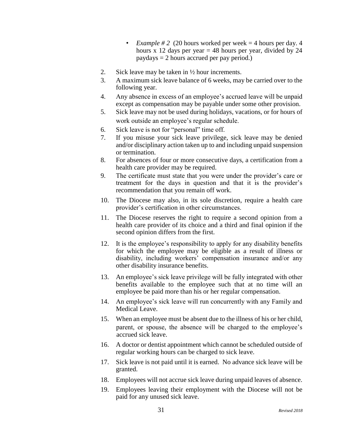- *Example # 2* (20 hours worked per week  $=$  4 hours per day. 4 hours x 12 days per year  $= 48$  hours per year, divided by 24 paydays = 2 hours accrued per pay period.)
- 2. Sick leave may be taken in ½ hour increments.
- 3. A maximum sick leave balance of 6 weeks, may be carried over to the following year.
- 4. Any absence in excess of an employee's accrued leave will be unpaid except as compensation may be payable under some other provision.
- 5. Sick leave may not be used during holidays, vacations, or for hours of work outside an employee's regular schedule.
- 6. Sick leave is not for "personal" time off.
- 7. If you misuse your sick leave privilege, sick leave may be denied and/or disciplinary action taken up to and including unpaid suspension or termination.
- 8. For absences of four or more consecutive days, a certification from a health care provider may be required.
- 9. The certificate must state that you were under the provider's care or treatment for the days in question and that it is the provider's recommendation that you remain off work.
- 10. The Diocese may also, in its sole discretion, require a health care provider's certification in other circumstances.
- 11. The Diocese reserves the right to require a second opinion from a health care provider of its choice and a third and final opinion if the second opinion differs from the first.
- 12. It is the employee's responsibility to apply for any disability benefits for which the employee may be eligible as a result of illness or disability, including workers' compensation insurance and/or any other disability insurance benefits.
- 13. An employee's sick leave privilege will be fully integrated with other benefits available to the employee such that at no time will an employee be paid more than his or her regular compensation.
- 14. An employee's sick leave will run concurrently with any Family and Medical Leave.
- 15. When an employee must be absent due to the illness of his or her child, parent, or spouse, the absence will be charged to the employee's accrued sick leave.
- 16. A doctor or dentist appointment which cannot be scheduled outside of regular working hours can be charged to sick leave.
- 17. Sick leave is not paid until it is earned. No advance sick leave will be granted.
- 18. Employees will not accrue sick leave during unpaid leaves of absence.
- 19. Employees leaving their employment with the Diocese will not be paid for any unused sick leave.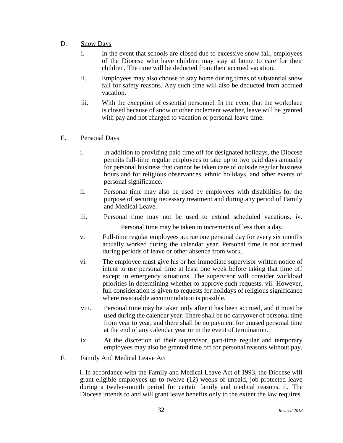- D. Snow Days
	- i. In the event that schools are closed due to excessive snow fall, employees of the Diocese who have children may stay at home to care for their children. The time will be deducted from their accrued vacation.
	- ii. Employees may also choose to stay home during times of substantial snow fall for safety reasons. Any such time will also be deducted from accrued vacation.
	- iii. With the exception of essential personnel. In the event that the workplace is closed because of snow or other inclement weather, leave will be granted with pay and not charged to vacation or personal leave time.

# E. Personal Days

- i. In addition to providing paid time off for designated holidays, the Diocese permits full-time regular employees to take up to two paid days annually for personal business that cannot be taken care of outside regular business hours and for religious observances, ethnic holidays, and other events of personal significance.
- ii. Personal time may also be used by employees with disabilities for the purpose of securing necessary treatment and during any period of Family and Medical Leave.
- iii. Personal time may not be used to extend scheduled vacations. iv. Personal time may be taken in increments of less than a day.
- v. Full-time regular employees accrue one personal day for every six months actually worked during the calendar year. Personal time is not accrued during periods of leave or other absence from work.
- vi. The employee must give his or her immediate supervisor written notice of intent to use personal time at least one week before taking that time off except in emergency situations. The supervisor will consider workload priorities in determining whether to approve such requests. vii. However, full consideration is given to requests for holidays of religious significance where reasonable accommodation is possible.
- viii. Personal time may be taken only after it has been accrued, and it must be used during the calendar year. There shall be no carryover of personal time from year to year, and there shall be no payment for unused personal time at the end of any calendar year or in the event of termination.
- ix. At the discretion of their supervisor, part-time regular and temporary employees may also be granted time off for personal reasons without pay.

# F. Family And Medical Leave Act

i. In accordance with the Family and Medical Leave Act of 1993, the Diocese will grant eligible employees up to twelve (12) weeks of unpaid, job protected leave during a twelve-month period for certain family and medical reasons. ii. The Diocese intends to and will grant leave benefits only to the extent the law requires.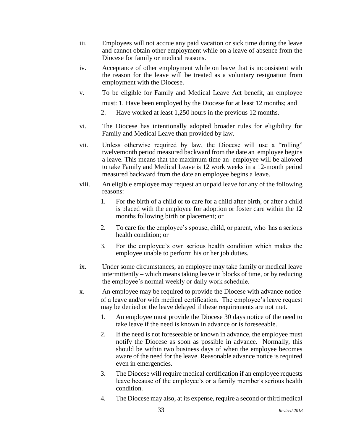- iii. Employees will not accrue any paid vacation or sick time during the leave and cannot obtain other employment while on a leave of absence from the Diocese for family or medical reasons.
- iv. Acceptance of other employment while on leave that is inconsistent with the reason for the leave will be treated as a voluntary resignation from employment with the Diocese.
- v. To be eligible for Family and Medical Leave Act benefit, an employee must: 1. Have been employed by the Diocese for at least 12 months; and
	- 2. Have worked at least 1,250 hours in the previous 12 months.
- vi. The Diocese has intentionally adopted broader rules for eligibility for Family and Medical Leave than provided by law.
- vii. Unless otherwise required by law, the Diocese will use a "rolling" twelvemonth period measured backward from the date an employee begins a leave. This means that the maximum time an employee will be allowed to take Family and Medical Leave is 12 work weeks in a 12-month period measured backward from the date an employee begins a leave.
- viii. An eligible employee may request an unpaid leave for any of the following reasons:
	- 1. For the birth of a child or to care for a child after birth, or after a child is placed with the employee for adoption or foster care within the 12 months following birth or placement; or
	- 2. To care for the employee's spouse, child, or parent, who has a serious health condition; or
	- 3. For the employee's own serious health condition which makes the employee unable to perform his or her job duties.
- ix. Under some circumstances, an employee may take family or medical leave intermittently – which means taking leave in blocks of time, or by reducing the employee's normal weekly or daily work schedule.
- x. An employee may be required to provide the Diocese with advance notice of a leave and/or with medical certification. The employee's leave request may be denied or the leave delayed if these requirements are not met.
	- 1. An employee must provide the Diocese 30 days notice of the need to take leave if the need is known in advance or is foreseeable.
	- 2. If the need is not foreseeable or known in advance, the employee must notify the Diocese as soon as possible in advance. Normally, this should be within two business days of when the employee becomes aware of the need for the leave. Reasonable advance notice is required even in emergencies.
	- 3. The Diocese will require medical certification if an employee requests leave because of the employee's or a family member's serious health condition.
	- 4. The Diocese may also, at its expense, require a second or third medical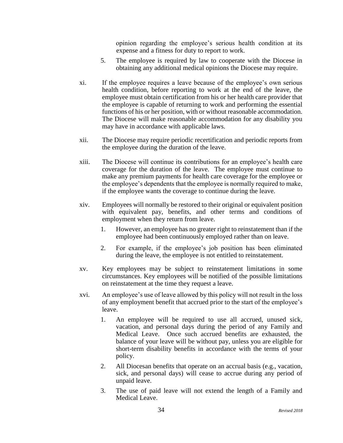opinion regarding the employee's serious health condition at its expense and a fitness for duty to report to work.

- 5. The employee is required by law to cooperate with the Diocese in obtaining any additional medical opinions the Diocese may require.
- xi. If the employee requires a leave because of the employee's own serious health condition, before reporting to work at the end of the leave, the employee must obtain certification from his or her health care provider that the employee is capable of returning to work and performing the essential functions of his or her position, with or without reasonable accommodation. The Diocese will make reasonable accommodation for any disability you may have in accordance with applicable laws.
- xii. The Diocese may require periodic recertification and periodic reports from the employee during the duration of the leave.
- xiii. The Diocese will continue its contributions for an employee's health care coverage for the duration of the leave. The employee must continue to make any premium payments for health care coverage for the employee or the employee's dependents that the employee is normally required to make, if the employee wants the coverage to continue during the leave.
- xiv. Employees will normally be restored to their original or equivalent position with equivalent pay, benefits, and other terms and conditions of employment when they return from leave.
	- 1. However, an employee has no greater right to reinstatement than if the employee had been continuously employed rather than on leave.
	- 2. For example, if the employee's job position has been eliminated during the leave, the employee is not entitled to reinstatement.
- xv. Key employees may be subject to reinstatement limitations in some circumstances. Key employees will be notified of the possible limitations on reinstatement at the time they request a leave.
- xvi. An employee's use of leave allowed by this policy will not result in the loss of any employment benefit that accrued prior to the start of the employee's leave.
	- 1. An employee will be required to use all accrued, unused sick, vacation, and personal days during the period of any Family and Medical Leave. Once such accrued benefits are exhausted, the balance of your leave will be without pay, unless you are eligible for short-term disability benefits in accordance with the terms of your policy.
	- 2. All Diocesan benefits that operate on an accrual basis (e.g., vacation, sick, and personal days) will cease to accrue during any period of unpaid leave.
	- 3. The use of paid leave will not extend the length of a Family and Medical Leave.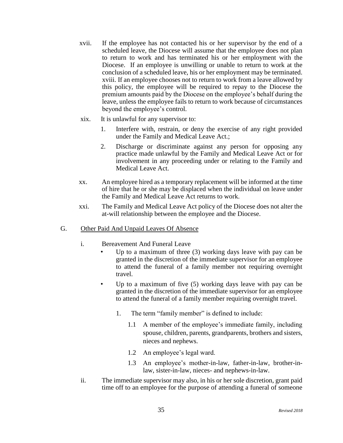- xvii. If the employee has not contacted his or her supervisor by the end of a scheduled leave, the Diocese will assume that the employee does not plan to return to work and has terminated his or her employment with the Diocese. If an employee is unwilling or unable to return to work at the conclusion of a scheduled leave, his or her employment may be terminated. xviii. If an employee chooses not to return to work from a leave allowed by this policy, the employee will be required to repay to the Diocese the premium amounts paid by the Diocese on the employee's behalf during the leave, unless the employee fails to return to work because of circumstances beyond the employee's control.
- xix. It is unlawful for any supervisor to:
	- 1. Interfere with, restrain, or deny the exercise of any right provided under the Family and Medical Leave Act.;
	- 2. Discharge or discriminate against any person for opposing any practice made unlawful by the Family and Medical Leave Act or for involvement in any proceeding under or relating to the Family and Medical Leave Act.
- xx. An employee hired as a temporary replacement will be informed at the time of hire that he or she may be displaced when the individual on leave under the Family and Medical Leave Act returns to work.
- xxi. The Family and Medical Leave Act policy of the Diocese does not alter the at-will relationship between the employee and the Diocese.

# G. Other Paid And Unpaid Leaves Of Absence

- i. Bereavement And Funeral Leave
	- Up to a maximum of three (3) working days leave with pay can be granted in the discretion of the immediate supervisor for an employee to attend the funeral of a family member not requiring overnight travel.
	- Up to a maximum of five (5) working days leave with pay can be granted in the discretion of the immediate supervisor for an employee to attend the funeral of a family member requiring overnight travel.
		- 1. The term "family member" is defined to include:
			- 1.1 A member of the employee's immediate family, including spouse, children, parents, grandparents, brothers and sisters, nieces and nephews.
			- 1.2 An employee's legal ward.
			- 1.3 An employee's mother-in-law, father-in-law, brother-inlaw, sister-in-law, nieces- and nephews-in-law.
- ii. The immediate supervisor may also, in his or her sole discretion, grant paid time off to an employee for the purpose of attending a funeral of someone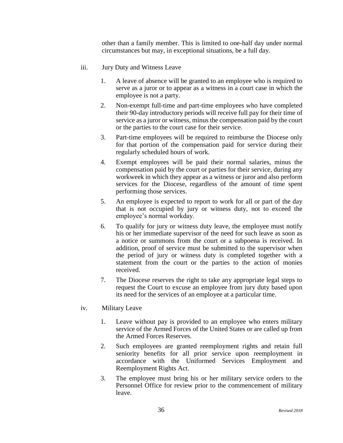other than a family member. This is limited to one-half day under normal circumstances but may, in exceptional situations, be a full day.

- iii. Jury Duty and Witness Leave
	- 1. A leave of absence will be granted to an employee who is required to serve as a juror or to appear as a witness in a court case in which the employee is not a party.
	- 2. Non-exempt full-time and part-time employees who have completed their 90-day introductory periods will receive full pay for their time of service as a juror or witness, minus the compensation paid by the court or the parties to the court case for their service.
	- 3. Part-time employees will be required to reimburse the Diocese only for that portion of the compensation paid for service during their regularly scheduled hours of work.
	- 4. Exempt employees will be paid their normal salaries, minus the compensation paid by the court or parties for their service, during any workweek in which they appear as a witness or juror and also perform services for the Diocese, regardless of the amount of time spent performing those services.
	- 5. An employee is expected to report to work for all or part of the day that is not occupied by jury or witness duty, not to exceed the employee's normal workday.
	- 6. To qualify for jury or witness duty leave, the employee must notify his or her immediate supervisor of the need for such leave as soon as a notice or summons from the court or a subpoena is received. In addition, proof of service must be submitted to the supervisor when the period of jury or witness duty is completed together with a statement from the court or the parties to the action of monies received.
	- 7. The Diocese reserves the right to take any appropriate legal steps to request the Court to excuse an employee from jury duty based upon its need for the services of an employee at a particular time.
- iv. Military Leave
	- 1. Leave without pay is provided to an employee who enters military service of the Armed Forces of the United States or are called up from the Armed Forces Reserves.
	- 2. Such employees are granted reemployment rights and retain full seniority benefits for all prior service upon reemployment in accordance with the Uniformed Services Employment and Reemployment Rights Act.
	- 3. The employee must bring his or her military service orders to the Personnel Office for review prior to the commencement of military leave.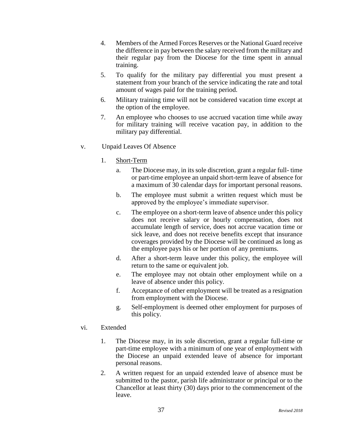- 4. Members of the Armed Forces Reserves or the National Guard receive the difference in pay between the salary received from the military and their regular pay from the Diocese for the time spent in annual training.
- 5. To qualify for the military pay differential you must present a statement from your branch of the service indicating the rate and total amount of wages paid for the training period.
- 6. Military training time will not be considered vacation time except at the option of the employee.
- 7. An employee who chooses to use accrued vacation time while away for military training will receive vacation pay, in addition to the military pay differential.
- v. Unpaid Leaves Of Absence
	- 1. Short-Term
		- a. The Diocese may, in its sole discretion, grant a regular full- time or part-time employee an unpaid short-term leave of absence for a maximum of 30 calendar days for important personal reasons.
		- b. The employee must submit a written request which must be approved by the employee's immediate supervisor.
		- c. The employee on a short-term leave of absence under this policy does not receive salary or hourly compensation, does not accumulate length of service, does not accrue vacation time or sick leave, and does not receive benefits except that insurance coverages provided by the Diocese will be continued as long as the employee pays his or her portion of any premiums.
		- d. After a short-term leave under this policy, the employee will return to the same or equivalent job.
		- e. The employee may not obtain other employment while on a leave of absence under this policy.
		- f. Acceptance of other employment will be treated as a resignation from employment with the Diocese.
		- g. Self-employment is deemed other employment for purposes of this policy.

#### vi. Extended

- 1. The Diocese may, in its sole discretion, grant a regular full-time or part-time employee with a minimum of one year of employment with the Diocese an unpaid extended leave of absence for important personal reasons.
- 2. A written request for an unpaid extended leave of absence must be submitted to the pastor, parish life administrator or principal or to the Chancellor at least thirty (30) days prior to the commencement of the leave.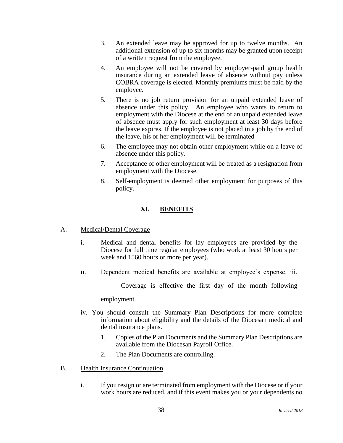- 3. An extended leave may be approved for up to twelve months. An additional extension of up to six months may be granted upon receipt of a written request from the employee.
- 4. An employee will not be covered by employer-paid group health insurance during an extended leave of absence without pay unless COBRA coverage is elected. Monthly premiums must be paid by the employee.
- 5. There is no job return provision for an unpaid extended leave of absence under this policy. An employee who wants to return to employment with the Diocese at the end of an unpaid extended leave of absence must apply for such employment at least 30 days before the leave expires. If the employee is not placed in a job by the end of the leave, his or her employment will be terminated
- 6. The employee may not obtain other employment while on a leave of absence under this policy.
- 7. Acceptance of other employment will be treated as a resignation from employment with the Diocese.
- 8. Self-employment is deemed other employment for purposes of this policy.

# **XI. BENEFITS**

# A. Medical/Dental Coverage

- i. Medical and dental benefits for lay employees are provided by the Diocese for full time regular employees (who work at least 30 hours per week and 1560 hours or more per year).
- ii. Dependent medical benefits are available at employee's expense. iii.

Coverage is effective the first day of the month following

employment.

- iv. You should consult the Summary Plan Descriptions for more complete information about eligibility and the details of the Diocesan medical and dental insurance plans.
	- 1. Copies of the Plan Documents and the Summary Plan Descriptions are available from the Diocesan Payroll Office.
	- 2. The Plan Documents are controlling.
- B. Health Insurance Continuation
	- i. If you resign or are terminated from employment with the Diocese or if your work hours are reduced, and if this event makes you or your dependents no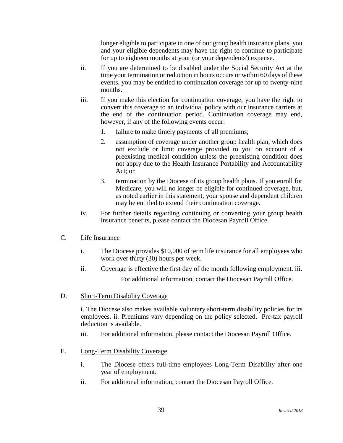longer eligible to participate in one of our group health insurance plans, you and your eligible dependents may have the right to continue to participate for up to eighteen months at your (or your dependents') expense.

- ii. If you are determined to be disabled under the Social Security Act at the time your termination or reduction in hours occurs or within 60 days of these events, you may be entitled to continuation coverage for up to twenty-nine months.
- iii. If you make this election for continuation coverage, you have the right to convert this coverage to an individual policy with our insurance carriers at the end of the continuation period. Continuation coverage may end, however, if any of the following events occur:
	- 1. failure to make timely payments of all premiums;
	- 2. assumption of coverage under another group health plan, which does not exclude or limit coverage provided to you on account of a preexisting medical condition unless the preexisting condition does not apply due to the Health Insurance Portability and Accountability Act; or
	- 3. termination by the Diocese of its group health plans. If you enroll for Medicare, you will no longer be eligible for continued coverage, but, as noted earlier in this statement, your spouse and dependent children may be entitled to extend their continuation coverage.
- iv. For further details regarding continuing or converting your group health insurance benefits, please contact the Diocesan Payroll Office.

# C. Life Insurance

- i. The Diocese provides \$10,000 of term life insurance for all employees who work over thirty (30) hours per week.
- ii. Coverage is effective the first day of the month following employment. iii. For additional information, contact the Diocesan Payroll Office.
- D. Short-Term Disability Coverage

i. The Diocese also makes available voluntary short-term disability policies for its employees. ii. Premiums vary depending on the policy selected. Pre-tax payroll deduction is available.

- iii. For additional information, please contact the Diocesan Payroll Office.
- E. Long-Term Disability Coverage
	- i. The Diocese offers full-time employees Long-Term Disability after one year of employment.
	- ii. For additional information, contact the Diocesan Payroll Office.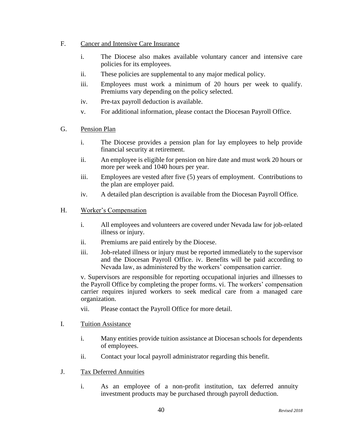- F. Cancer and Intensive Care Insurance
	- i. The Diocese also makes available voluntary cancer and intensive care policies for its employees.
	- ii. These policies are supplemental to any major medical policy.
	- iii. Employees must work a minimum of 20 hours per week to qualify. Premiums vary depending on the policy selected.
	- iv. Pre-tax payroll deduction is available.
	- v. For additional information, please contact the Diocesan Payroll Office.
- G. Pension Plan
	- i. The Diocese provides a pension plan for lay employees to help provide financial security at retirement.
	- ii. An employee is eligible for pension on hire date and must work 20 hours or more per week and 1040 hours per year.
	- iii. Employees are vested after five (5) years of employment. Contributions to the plan are employer paid.
	- iv. A detailed plan description is available from the Diocesan Payroll Office.
- H. Worker's Compensation
	- i. All employees and volunteers are covered under Nevada law for job-related illness or injury.
	- ii. Premiums are paid entirely by the Diocese.
	- iii. Job-related illness or injury must be reported immediately to the supervisor and the Diocesan Payroll Office. iv. Benefits will be paid according to Nevada law, as administered by the workers' compensation carrier.

v. Supervisors are responsible for reporting occupational injuries and illnesses to the Payroll Office by completing the proper forms. vi. The workers' compensation carrier requires injured workers to seek medical care from a managed care organization.

- vii. Please contact the Payroll Office for more detail.
- I. Tuition Assistance
	- i. Many entities provide tuition assistance at Diocesan schools for dependents of employees.
	- ii. Contact your local payroll administrator regarding this benefit.
- J. Tax Deferred Annuities
	- i. As an employee of a non-profit institution, tax deferred annuity investment products may be purchased through payroll deduction.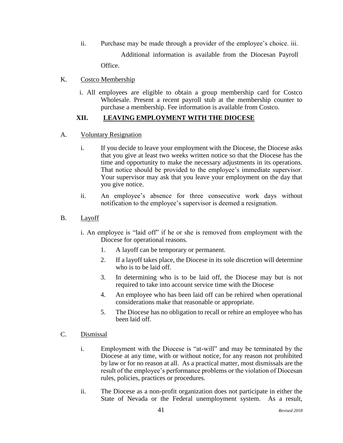ii. Purchase may be made through a provider of the employee's choice. iii. Additional information is available from the Diocesan Payroll Office.

K. Costco Membership

i. All employees are eligible to obtain a group membership card for Costco Wholesale. Present a recent payroll stub at the membership counter to purchase a membership. Fee information is available from Costco.

# **XII. LEAVING EMPLOYMENT WITH THE DIOCESE**

- A. Voluntary Resignation
	- i. If you decide to leave your employment with the Diocese, the Diocese asks that you give at least two weeks written notice so that the Diocese has the time and opportunity to make the necessary adjustments in its operations. That notice should be provided to the employee's immediate supervisor. Your supervisor may ask that you leave your employment on the day that you give notice.
	- ii. An employee's absence for three consecutive work days without notification to the employee's supervisor is deemed a resignation.
- B. Layoff
	- i. An employee is "laid off" if he or she is removed from employment with the Diocese for operational reasons.
		- 1. A layoff can be temporary or permanent.
		- 2. If a layoff takes place, the Diocese in its sole discretion will determine who is to be laid off.
		- 3. In determining who is to be laid off, the Diocese may but is not required to take into account service time with the Diocese
		- 4. An employee who has been laid off can be rehired when operational considerations make that reasonable or appropriate.
		- 5. The Diocese has no obligation to recall or rehire an employee who has been laid off.
- C. Dismissal
	- i. Employment with the Diocese is "at-will" and may be terminated by the Diocese at any time, with or without notice, for any reason not prohibited by law or for no reason at all. As a practical matter, most dismissals are the result of the employee's performance problems or the violation of Diocesan rules, policies, practices or procedures.
	- ii. The Diocese as a non-profit organization does not participate in either the State of Nevada or the Federal unemployment system. As a result,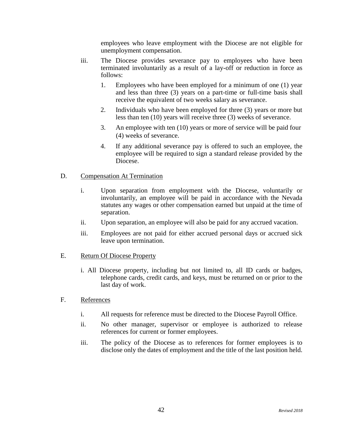employees who leave employment with the Diocese are not eligible for unemployment compensation.

- iii. The Diocese provides severance pay to employees who have been terminated involuntarily as a result of a lay-off or reduction in force as follows:
	- 1. Employees who have been employed for a minimum of one (1) year and less than three (3) years on a part-time or full-time basis shall receive the equivalent of two weeks salary as severance.
	- 2. Individuals who have been employed for three (3) years or more but less than ten (10) years will receive three (3) weeks of severance.
	- 3. An employee with ten (10) years or more of service will be paid four (4) weeks of severance.
	- 4. If any additional severance pay is offered to such an employee, the employee will be required to sign a standard release provided by the Diocese.

#### D. Compensation At Termination

- i. Upon separation from employment with the Diocese, voluntarily or involuntarily, an employee will be paid in accordance with the Nevada statutes any wages or other compensation earned but unpaid at the time of separation.
- ii. Upon separation, an employee will also be paid for any accrued vacation.
- iii. Employees are not paid for either accrued personal days or accrued sick leave upon termination.

#### E. Return Of Diocese Property

- i. All Diocese property, including but not limited to, all ID cards or badges, telephone cards, credit cards, and keys, must be returned on or prior to the last day of work.
- F. References
	- i. All requests for reference must be directed to the Diocese Payroll Office.
	- ii. No other manager, supervisor or employee is authorized to release references for current or former employees.
	- iii. The policy of the Diocese as to references for former employees is to disclose only the dates of employment and the title of the last position held.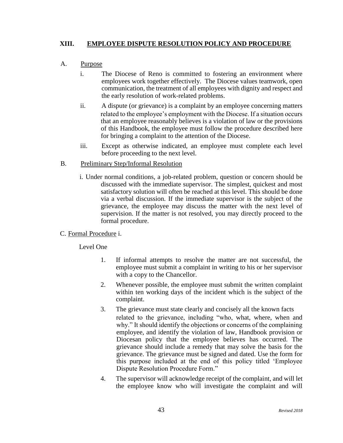# **XIII. EMPLOYEE DISPUTE RESOLUTION POLICY AND PROCEDURE**

#### A. Purpose

- i. The Diocese of Reno is committed to fostering an environment where employees work together effectively. The Diocese values teamwork, open communication, the treatment of all employees with dignity and respect and the early resolution of work-related problems.
- ii. A dispute (or grievance) is a complaint by an employee concerning matters related to the employee's employment with the Diocese. If a situation occurs that an employee reasonably believes is a violation of law or the provisions of this Handbook, the employee must follow the procedure described here for bringing a complaint to the attention of the Diocese.
- iii. Except as otherwise indicated, an employee must complete each level before proceeding to the next level.

#### B. Preliminary Step/Informal Resolution

i. Under normal conditions, a job-related problem, question or concern should be discussed with the immediate supervisor. The simplest, quickest and most satisfactory solution will often be reached at this level. This should be done via a verbal discussion. If the immediate supervisor is the subject of the grievance, the employee may discuss the matter with the next level of supervision. If the matter is not resolved, you may directly proceed to the formal procedure.

# C. Formal Procedure i.

#### Level One

- 1. If informal attempts to resolve the matter are not successful, the employee must submit a complaint in writing to his or her supervisor with a copy to the Chancellor.
- 2. Whenever possible, the employee must submit the written complaint within ten working days of the incident which is the subject of the complaint.
- 3. The grievance must state clearly and concisely all the known facts related to the grievance, including "who, what, where, when and why." It should identify the objections or concerns of the complaining employee, and identify the violation of law, Handbook provision or Diocesan policy that the employee believes has occurred. The grievance should include a remedy that may solve the basis for the grievance. The grievance must be signed and dated. Use the form for this purpose included at the end of this policy titled 'Employee Dispute Resolution Procedure Form."
- 4. The supervisor will acknowledge receipt of the complaint, and will let the employee know who will investigate the complaint and will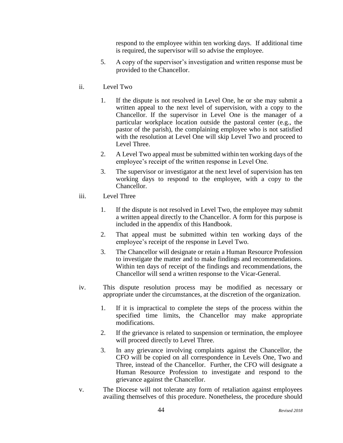respond to the employee within ten working days. If additional time is required, the supervisor will so advise the employee.

- 5. A copy of the supervisor's investigation and written response must be provided to the Chancellor.
- ii. Level Two
	- 1. If the dispute is not resolved in Level One, he or she may submit a written appeal to the next level of supervision, with a copy to the Chancellor. If the supervisor in Level One is the manager of a particular workplace location outside the pastoral center (e.g., the pastor of the parish), the complaining employee who is not satisfied with the resolution at Level One will skip Level Two and proceed to Level Three.
	- 2. A Level Two appeal must be submitted within ten working days of the employee's receipt of the written response in Level One.
	- 3. The supervisor or investigator at the next level of supervision has ten working days to respond to the employee, with a copy to the Chancellor.
- iii. Level Three
	- 1. If the dispute is not resolved in Level Two, the employee may submit a written appeal directly to the Chancellor. A form for this purpose is included in the appendix of this Handbook.
	- 2. That appeal must be submitted within ten working days of the employee's receipt of the response in Level Two.
	- 3. The Chancellor will designate or retain a Human Resource Profession to investigate the matter and to make findings and recommendations. Within ten days of receipt of the findings and recommendations, the Chancellor will send a written response to the Vicar-General.
- iv. This dispute resolution process may be modified as necessary or appropriate under the circumstances, at the discretion of the organization.
	- 1. If it is impractical to complete the steps of the process within the specified time limits, the Chancellor may make appropriate modifications.
	- 2. If the grievance is related to suspension or termination, the employee will proceed directly to Level Three.
	- 3. In any grievance involving complaints against the Chancellor, the CFO will be copied on all correspondence in Levels One, Two and Three, instead of the Chancellor. Further, the CFO will designate a Human Resource Profession to investigate and respond to the grievance against the Chancellor.
- v. The Diocese will not tolerate any form of retaliation against employees availing themselves of this procedure. Nonetheless, the procedure should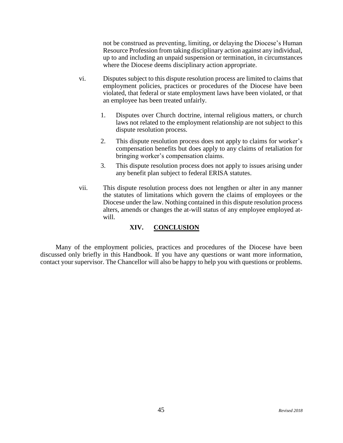not be construed as preventing, limiting, or delaying the Diocese's Human Resource Profession from taking disciplinary action against any individual, up to and including an unpaid suspension or termination, in circumstances where the Diocese deems disciplinary action appropriate.

- vi. Disputes subject to this dispute resolution process are limited to claims that employment policies, practices or procedures of the Diocese have been violated, that federal or state employment laws have been violated, or that an employee has been treated unfairly.
	- 1. Disputes over Church doctrine, internal religious matters, or church laws not related to the employment relationship are not subject to this dispute resolution process.
	- 2. This dispute resolution process does not apply to claims for worker's compensation benefits but does apply to any claims of retaliation for bringing worker's compensation claims.
	- 3. This dispute resolution process does not apply to issues arising under any benefit plan subject to federal ERISA statutes.
- vii. This dispute resolution process does not lengthen or alter in any manner the statutes of limitations which govern the claims of employees or the Diocese under the law. Nothing contained in this dispute resolution process alters, amends or changes the at-will status of any employee employed atwill.

# **XIV. CONCLUSION**

Many of the employment policies, practices and procedures of the Diocese have been discussed only briefly in this Handbook. If you have any questions or want more information, contact your supervisor. The Chancellor will also be happy to help you with questions or problems.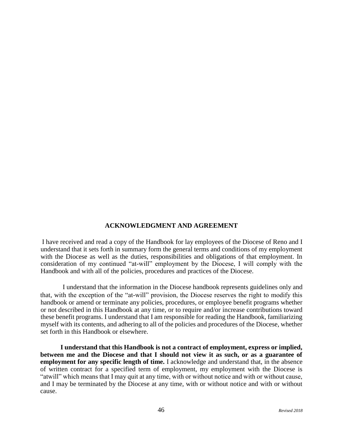# **ACKNOWLEDGMENT AND AGREEMENT**

I have received and read a copy of the Handbook for lay employees of the Diocese of Reno and I understand that it sets forth in summary form the general terms and conditions of my employment with the Diocese as well as the duties, responsibilities and obligations of that employment. In consideration of my continued "at-will" employment by the Diocese, I will comply with the Handbook and with all of the policies, procedures and practices of the Diocese.

I understand that the information in the Diocese handbook represents guidelines only and that, with the exception of the "at-will" provision, the Diocese reserves the right to modify this handbook or amend or terminate any policies, procedures, or employee benefit programs whether or not described in this Handbook at any time, or to require and/or increase contributions toward these benefit programs. I understand that I am responsible for reading the Handbook, familiarizing myself with its contents, and adhering to all of the policies and procedures of the Diocese, whether set forth in this Handbook or elsewhere.

**I understand that this Handbook is not a contract of employment, express or implied, between me and the Diocese and that I should not view it as such, or as a guarantee of employment for any specific length of time.** I acknowledge and understand that, in the absence of written contract for a specified term of employment, my employment with the Diocese is "atwill" which means that I may quit at any time, with or without notice and with or without cause, and I may be terminated by the Diocese at any time, with or without notice and with or without cause.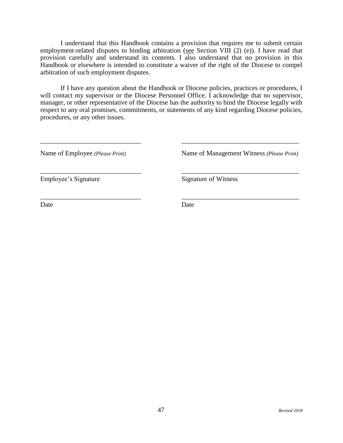I understand that this Handbook contains a provision that requires me to submit certain employment-related disputes to binding arbitration (see Section VIII (2) (e)). I have read that provision carefully and understand its contents. I also understand that no provision in this Handbook or elsewhere is intended to constitute a waiver of the right of the Diocese to compel arbitration of such employment disputes.

If I have any question about the Handbook or Diocese policies, practices or procedures, I will contact my supervisor or the Diocese Personnel Office. I acknowledge that no supervisor, manager, or other representative of the Diocese has the authority to bind the Diocese legally with respect to any oral promises, commitments, or statements of any kind regarding Diocese policies, procedures, or any other issues.

 $\overline{\phantom{a}}$  , and the contract of the contract of the contract of the contract of the contract of the contract of the contract of the contract of the contract of the contract of the contract of the contract of the contrac

 $\overline{\phantom{a}}$  , and the contract of the contract of the contract of the contract of the contract of the contract of the contract of the contract of the contract of the contract of the contract of the contract of the contrac

 $\overline{\phantom{a}}$  , and the contract of the contract of the contract of the contract of the contract of the contract of the contract of the contract of the contract of the contract of the contract of the contract of the contrac

Name of Employee *(Please Print)* Name of Management Witness *(Please Print)* 

Employee's Signature Signature Signature of Witness

Date Date Date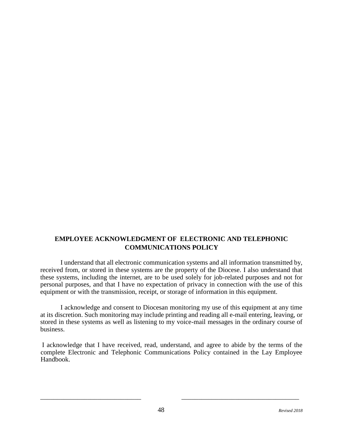# **EMPLOYEE ACKNOWLEDGMENT OF ELECTRONIC AND TELEPHONIC COMMUNICATIONS POLICY**

I understand that all electronic communication systems and all information transmitted by, received from, or stored in these systems are the property of the Diocese. I also understand that these systems, including the internet, are to be used solely for job-related purposes and not for personal purposes, and that I have no expectation of privacy in connection with the use of this equipment or with the transmission, receipt, or storage of information in this equipment.

I acknowledge and consent to Diocesan monitoring my use of this equipment at any time at its discretion. Such monitoring may include printing and reading all e-mail entering, leaving, or stored in these systems as well as listening to my voice-mail messages in the ordinary course of business.

I acknowledge that I have received, read, understand, and agree to abide by the terms of the complete Electronic and Telephonic Communications Policy contained in the Lay Employee Handbook.

 $\overline{\phantom{a}}$  , and the contract of the contract of the contract of the contract of the contract of the contract of the contract of the contract of the contract of the contract of the contract of the contract of the contrac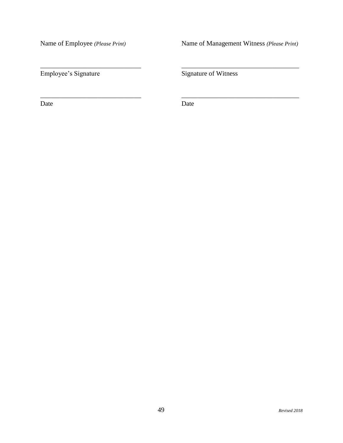Name of Employee *(Please Print)* Name of Management Witness *(Please Print)* 

Employee's Signature Signature Signature of Witness

Date Date Date

 $\overline{\phantom{a}}$  , and the contract of the contract of the contract of the contract of the contract of the contract of the contract of the contract of the contract of the contract of the contract of the contract of the contrac

 $\overline{\phantom{a}}$  , and the contract of the contract of the contract of the contract of the contract of the contract of the contract of the contract of the contract of the contract of the contract of the contract of the contrac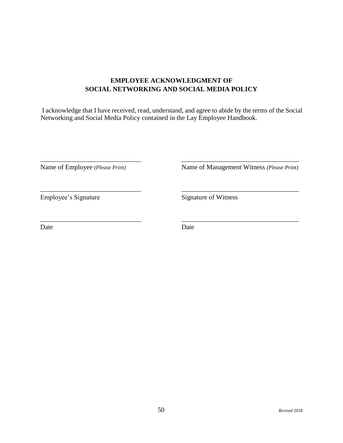# **EMPLOYEE ACKNOWLEDGMENT OF SOCIAL NETWORKING AND SOCIAL MEDIA POLICY**

I acknowledge that I have received, read, understand, and agree to abide by the terms of the Social Networking and Social Media Policy contained in the Lay Employee Handbook.

 $\overline{\phantom{a}}$  , and the contract of the contract of the contract of the contract of the contract of the contract of the contract of the contract of the contract of the contract of the contract of the contract of the contrac

 $\overline{\phantom{a}}$  , and the contract of the contract of the contract of the contract of the contract of the contract of the contract of the contract of the contract of the contract of the contract of the contract of the contrac

 $\overline{\phantom{a}}$  , and the contract of the contract of the contract of the contract of the contract of the contract of the contract of the contract of the contract of the contract of the contract of the contract of the contrac

Name of Employee *(Please Print)* Name of Management Witness *(Please Print)* 

Employee's Signature Signature Signature of Witness

Date Date Date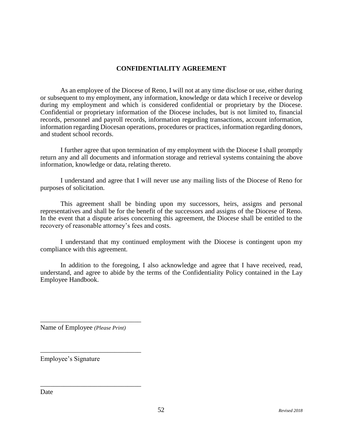# **CONFIDENTIALITY AGREEMENT**

As an employee of the Diocese of Reno, I will not at any time disclose or use, either during or subsequent to my employment, any information, knowledge or data which I receive or develop during my employment and which is considered confidential or proprietary by the Diocese. Confidential or proprietary information of the Diocese includes, but is not limited to, financial records, personnel and payroll records, information regarding transactions, account information, information regarding Diocesan operations, procedures or practices, information regarding donors, and student school records.

I further agree that upon termination of my employment with the Diocese I shall promptly return any and all documents and information storage and retrieval systems containing the above information, knowledge or data, relating thereto.

I understand and agree that I will never use any mailing lists of the Diocese of Reno for purposes of solicitation.

This agreement shall be binding upon my successors, heirs, assigns and personal representatives and shall be for the benefit of the successors and assigns of the Diocese of Reno. In the event that a dispute arises concerning this agreement, the Diocese shall be entitled to the recovery of reasonable attorney's fees and costs.

I understand that my continued employment with the Diocese is contingent upon my compliance with this agreement.

In addition to the foregoing, I also acknowledge and agree that I have received, read, understand, and agree to abide by the terms of the Confidentiality Policy contained in the Lay Employee Handbook.

Name of Employee *(Please Print)*

\_\_\_\_\_\_\_\_\_\_\_\_\_\_\_\_\_\_\_\_\_\_\_\_\_\_\_\_\_\_

\_\_\_\_\_\_\_\_\_\_\_\_\_\_\_\_\_\_\_\_\_\_\_\_\_\_\_\_\_\_

\_\_\_\_\_\_\_\_\_\_\_\_\_\_\_\_\_\_\_\_\_\_\_\_\_\_\_\_\_\_

Employee's Signature

Date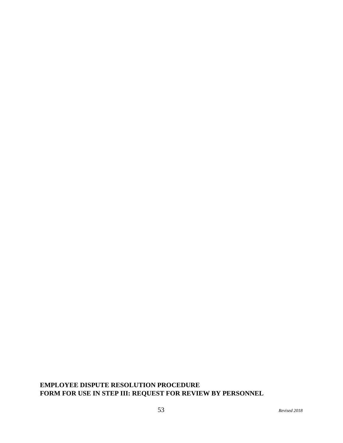# **EMPLOYEE DISPUTE RESOLUTION PROCEDURE FORM FOR USE IN STEP III: REQUEST FOR REVIEW BY PERSONNEL**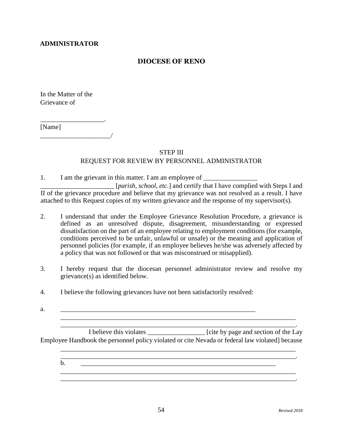# **ADMINISTRATOR**

# **DIOCESE OF RENO**

In the Matter of the Grievance of

\_\_\_\_\_\_\_\_\_\_\_\_\_\_\_\_\_\_\_. [Name]  $\overline{\phantom{a}}$ 

#### STEP III

# REQUEST FOR REVIEW BY PERSONNEL ADMINISTRATOR

1. I am the grievant in this matter. I am an employee of \_\_\_\_\_\_\_\_\_\_\_\_\_\_\_\_\_\_\_\_\_\_\_ \_\_\_\_\_\_\_\_\_\_\_\_\_\_\_\_\_\_\_\_\_\_ [*parish, school, etc.*] and certify that I have complied with Steps I and

II of the grievance procedure and believe that my grievance was not resolved as a result. I have attached to this Request copies of my written grievance and the response of my supervisor(s).

- 2. I understand that under the Employee Grievance Resolution Procedure, a grievance is defined as an unresolved dispute, disagreement, misunderstanding or expressed dissatisfaction on the part of an employee relating to employment conditions (for example, conditions perceived to be unfair, unlawful or unsafe) or the meaning and application of personnel policies (for example, if an employee believes he/she was adversely affected by a policy that was not followed or that was misconstrued or misapplied).
- 3. I hereby request that the diocesan personnel administrator review and resolve my grievance(s) as identified below.
- 4. I believe the following grievances have not been satisfactorily resolved:
- $a.$

\_\_\_\_\_\_\_\_\_\_\_\_\_\_\_\_\_\_\_\_\_\_\_\_\_\_\_\_\_\_\_\_\_\_\_\_\_\_\_\_\_\_\_\_\_\_\_\_\_\_\_\_\_\_\_\_\_\_\_\_\_\_\_\_\_\_\_\_\_\_. I believe this violates \_\_\_\_\_\_\_\_\_\_\_\_\_\_\_\_\_ [cite by page and section of the Lay Employee Handbook the personnel policy violated or cite Nevada or federal law violated] because

\_\_\_\_\_\_\_\_\_\_\_\_\_\_\_\_\_\_\_\_\_\_\_\_\_\_\_\_\_\_\_\_\_\_\_\_\_\_\_\_\_\_\_\_\_\_\_\_\_\_\_\_\_\_\_\_\_\_\_\_\_\_\_\_\_\_\_\_\_\_

 $\mathcal{L}_\mathcal{L} = \{ \mathcal{L}_\mathcal{L} = \{ \mathcal{L}_\mathcal{L} = \{ \mathcal{L}_\mathcal{L} = \{ \mathcal{L}_\mathcal{L} = \{ \mathcal{L}_\mathcal{L} = \{ \mathcal{L}_\mathcal{L} = \{ \mathcal{L}_\mathcal{L} = \{ \mathcal{L}_\mathcal{L} = \{ \mathcal{L}_\mathcal{L} = \{ \mathcal{L}_\mathcal{L} = \{ \mathcal{L}_\mathcal{L} = \{ \mathcal{L}_\mathcal{L} = \{ \mathcal{L}_\mathcal{L} = \{ \mathcal{L}_\mathcal{$ b. \_\_\_\_\_\_\_\_\_\_\_\_\_\_\_\_\_\_\_\_\_\_\_\_\_\_\_\_\_\_\_\_\_\_\_\_\_\_\_\_\_\_\_\_\_\_\_\_\_\_\_\_\_\_\_\_\_\_

\_\_\_\_\_\_\_\_\_\_\_\_\_\_\_\_\_\_\_\_\_\_\_\_\_\_\_\_\_\_\_\_\_\_\_\_\_\_\_\_\_\_\_\_\_\_\_\_\_\_\_\_\_\_\_\_\_\_\_\_\_\_\_\_\_\_\_\_\_\_